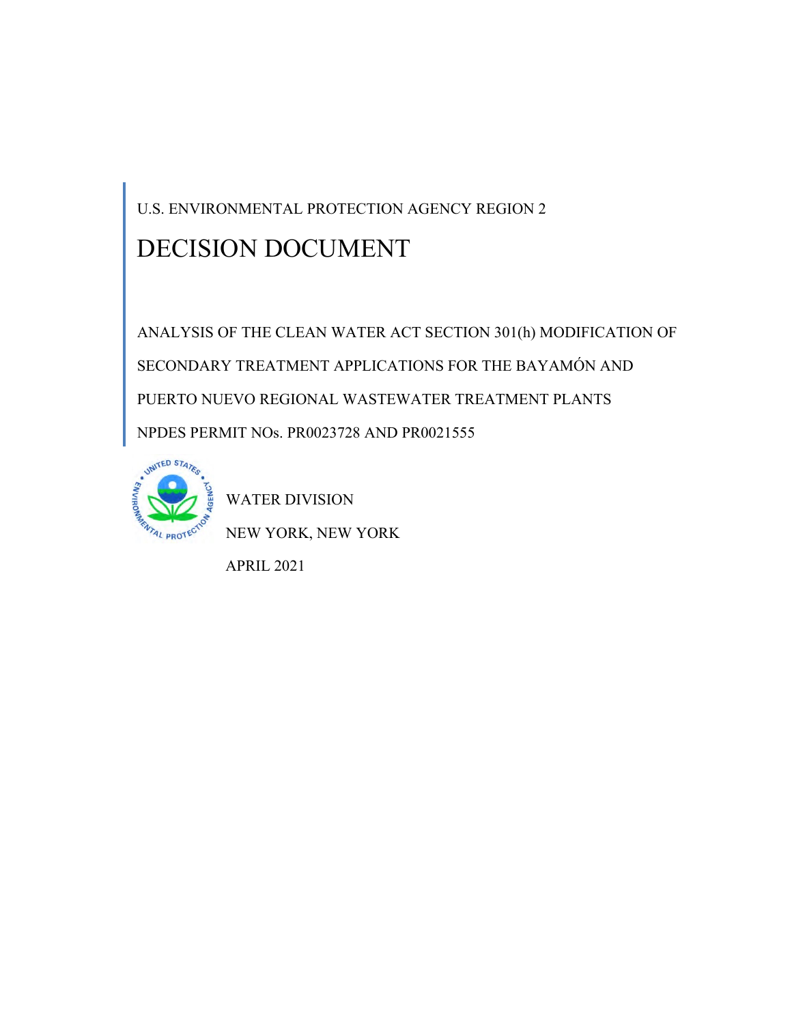U.S. ENVIRONMENTAL PROTECTION AGENCY REGION 2

# DECISION DOCUMENT

ANALYSIS OF THE CLEAN WATER ACT SECTION 301(h) MODIFICATION OF SECONDARY TREATMENT APPLICATIONS FOR THE BAYAMÓN AND PUERTO NUEVO REGIONAL WASTEWATER TREATMENT PLANTS NPDES PERMIT NOs. PR0023728 AND PR0021555



WATER DIVISION

NEW YORK, NEW YORK

APRIL 2021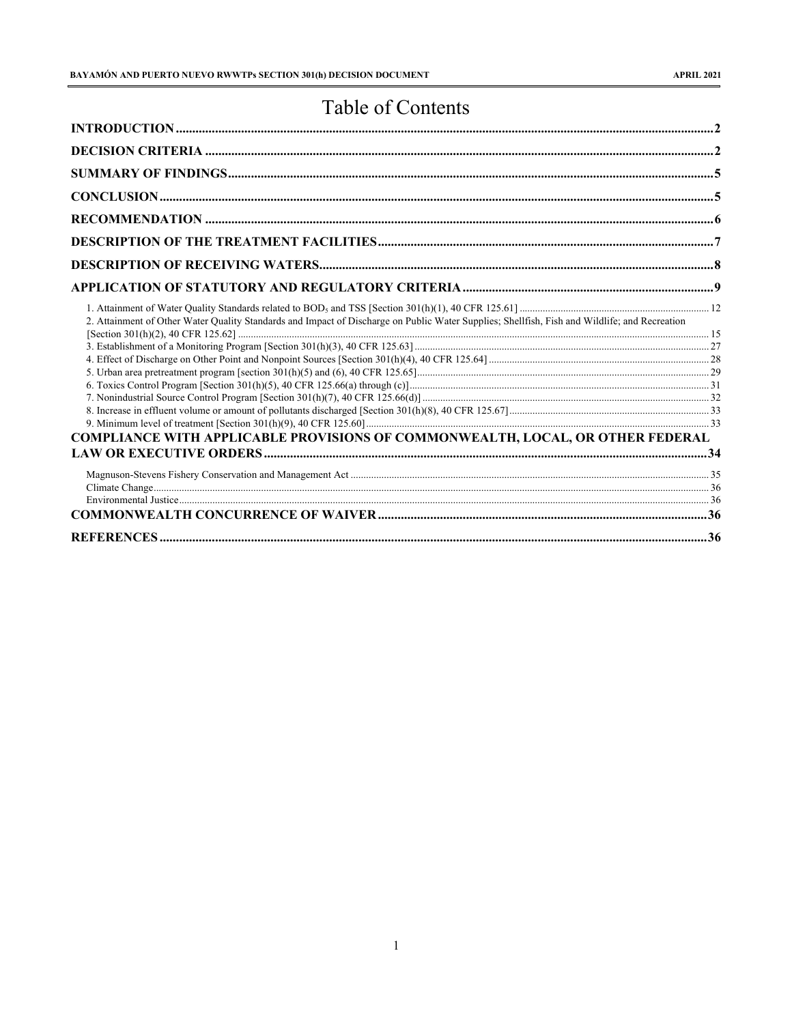# Table of Contents

| 2. Attainment of Other Water Quality Standards and Impact of Discharge on Public Water Supplies; Shellfish, Fish and Wildlife; and Recreation |  |
|-----------------------------------------------------------------------------------------------------------------------------------------------|--|
|                                                                                                                                               |  |
|                                                                                                                                               |  |
|                                                                                                                                               |  |
|                                                                                                                                               |  |
|                                                                                                                                               |  |
|                                                                                                                                               |  |
|                                                                                                                                               |  |
| <b>COMPLIANCE WITH APPLICABLE PROVISIONS OF COMMONWEALTH, LOCAL, OR OTHER FEDERAL</b>                                                         |  |
|                                                                                                                                               |  |
|                                                                                                                                               |  |
|                                                                                                                                               |  |
|                                                                                                                                               |  |
|                                                                                                                                               |  |
| REFERENCES.                                                                                                                                   |  |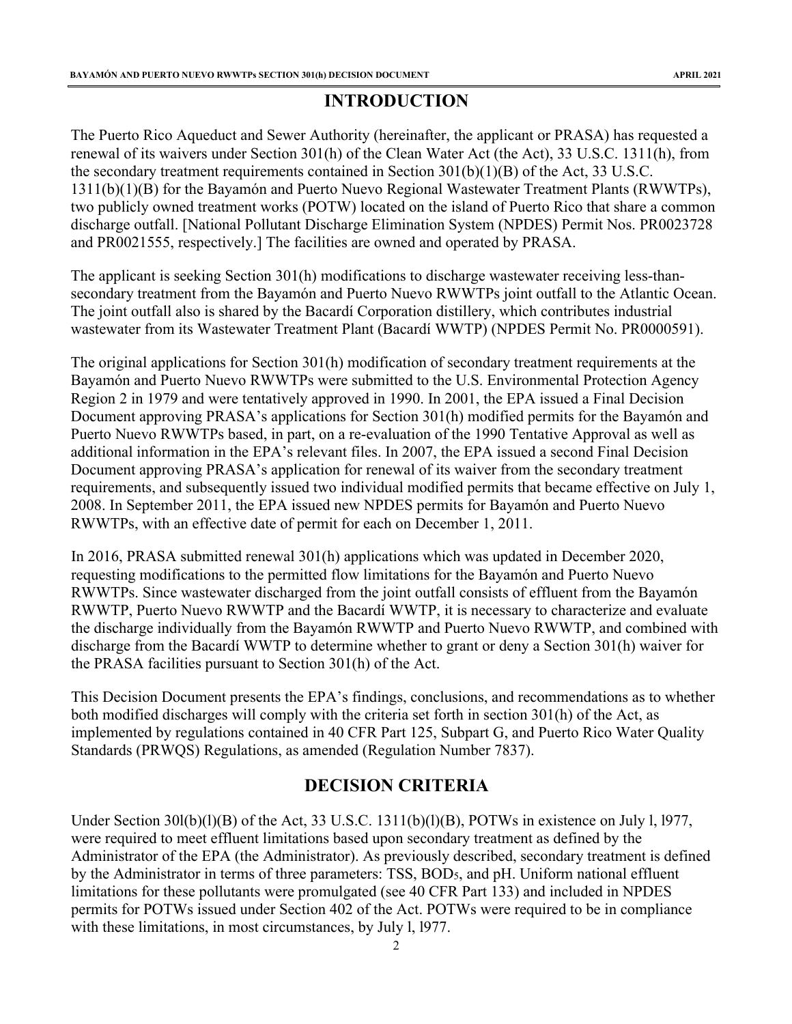# **INTRODUCTION**

<span id="page-2-0"></span>The Puerto Rico Aqueduct and Sewer Authority (hereinafter, the applicant or PRASA) has requested a renewal of its waivers under Section 301(h) of the Clean Water Act (the Act), 33 U.S.C. 1311(h), from the secondary treatment requirements contained in Section 301(b)(1)(B) of the Act, 33 U.S.C. 1311(b)(1)(B) for the Bayamón and Puerto Nuevo Regional Wastewater Treatment Plants (RWWTPs), two publicly owned treatment works (POTW) located on the island of Puerto Rico that share a common discharge outfall. [National Pollutant Discharge Elimination System (NPDES) Permit Nos. PR0023728 and PR0021555, respectively.] The facilities are owned and operated by PRASA.

The applicant is seeking Section 301(h) modifications to discharge wastewater receiving less-thansecondary treatment from the Bayamón and Puerto Nuevo RWWTPs joint outfall to the Atlantic Ocean. The joint outfall also is shared by the Bacardí Corporation distillery, which contributes industrial wastewater from its Wastewater Treatment Plant (Bacardí WWTP) (NPDES Permit No. PR0000591).

The original applications for Section 301(h) modification of secondary treatment requirements at the Bayamón and Puerto Nuevo RWWTPs were submitted to the U.S. Environmental Protection Agency Region 2 in 1979 and were tentatively approved in 1990. In 2001, the EPA issued a Final Decision Document approving PRASA's applications for Section 301(h) modified permits for the Bayamón and Puerto Nuevo RWWTPs based, in part, on a re-evaluation of the 1990 Tentative Approval as well as additional information in the EPA's relevant files. In 2007, the EPA issued a second Final Decision Document approving PRASA's application for renewal of its waiver from the secondary treatment requirements, and subsequently issued two individual modified permits that became effective on July 1, 2008. In September 2011, the EPA issued new NPDES permits for Bayamón and Puerto Nuevo RWWTPs, with an effective date of permit for each on December 1, 2011.

In 2016, PRASA submitted renewal 301(h) applications which was updated in December 2020, requesting modifications to the permitted flow limitations for the Bayamón and Puerto Nuevo RWWTPs. Since wastewater discharged from the joint outfall consists of effluent from the Bayamón RWWTP, Puerto Nuevo RWWTP and the Bacardí WWTP, it is necessary to characterize and evaluate the discharge individually from the Bayamón RWWTP and Puerto Nuevo RWWTP, and combined with discharge from the Bacardí WWTP to determine whether to grant or deny a Section 301(h) waiver for the PRASA facilities pursuant to Section 301(h) of the Act.

This Decision Document presents the EPA's findings, conclusions, and recommendations as to whether both modified discharges will comply with the criteria set forth in section 301(h) of the Act, as implemented by regulations contained in 40 CFR Part 125, Subpart G, and Puerto Rico Water Quality Standards (PRWQS) Regulations, as amended (Regulation Number 7837).

# **DECISION CRITERIA**

<span id="page-2-1"></span>Under Section 30l(b)(l)(B) of the Act, 33 U.S.C. 1311(b)(l)(B), POTWs in existence on July 1, 1977, were required to meet effluent limitations based upon secondary treatment as defined by the Administrator of the EPA (the Administrator). As previously described, secondary treatment is defined by the Administrator in terms of three parameters: TSS, BOD5, and pH. Uniform national effluent limitations for these pollutants were promulgated (see 40 CFR Part 133) and included in NPDES permits for POTWs issued under Section 402 of the Act. POTWs were required to be in compliance with these limitations, in most circumstances, by July l, l977.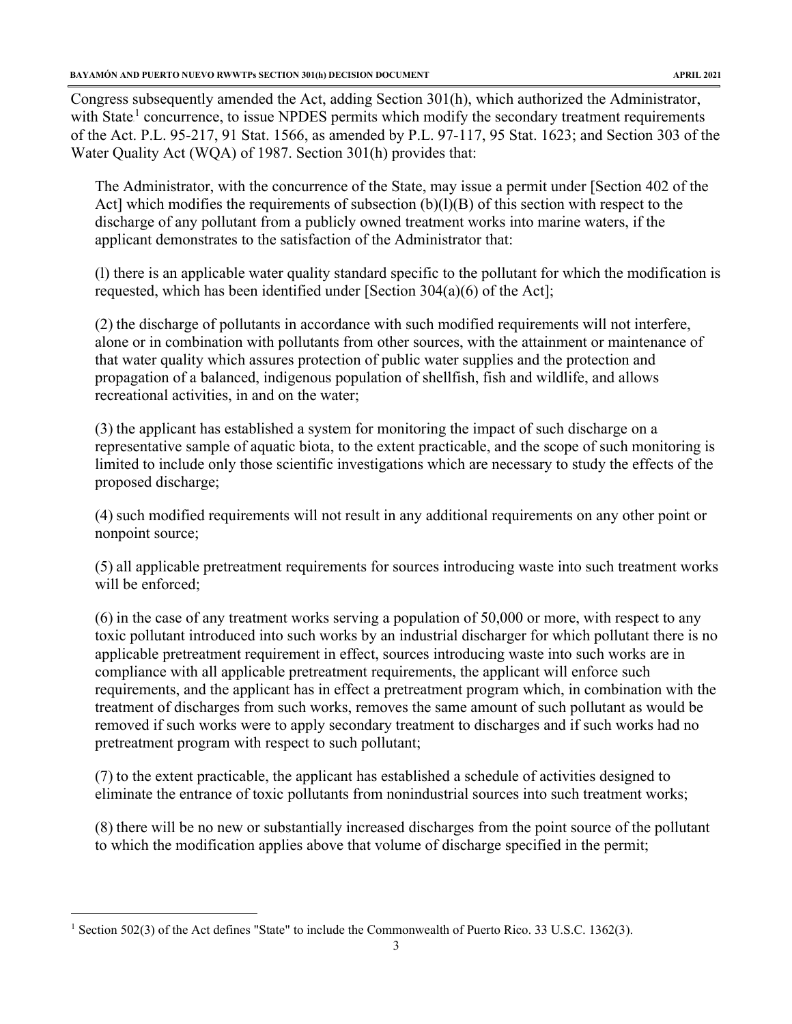Congress subsequently amended the Act, adding Section 301(h), which authorized the Administrator, with State<sup>1</sup> concurrence, to issue NPDES permits which modify the secondary treatment requirements of the Act. P.L. 95-217, 91 Stat. 1566, as amended by P.L. 97-117, 95 Stat. 1623; and Section 303 of the Water Quality Act (WQA) of 1987. Section 301(h) provides that:

The Administrator, with the concurrence of the State, may issue a permit under [Section 402 of the Act] which modifies the requirements of subsection (b)(l)(B) of this section with respect to the discharge of any pollutant from a publicly owned treatment works into marine waters, if the applicant demonstrates to the satisfaction of the Administrator that:

(l) there is an applicable water quality standard specific to the pollutant for which the modification is requested, which has been identified under [Section 304(a)(6) of the Act];

(2) the discharge of pollutants in accordance with such modified requirements will not interfere, alone or in combination with pollutants from other sources, with the attainment or maintenance of that water quality which assures protection of public water supplies and the protection and propagation of a balanced, indigenous population of shellfish, fish and wildlife, and allows recreational activities, in and on the water;

(3) the applicant has established a system for monitoring the impact of such discharge on a representative sample of aquatic biota, to the extent practicable, and the scope of such monitoring is limited to include only those scientific investigations which are necessary to study the effects of the proposed discharge;

(4) such modified requirements will not result in any additional requirements on any other point or nonpoint source;

(5) all applicable pretreatment requirements for sources introducing waste into such treatment works will be enforced:

(6) in the case of any treatment works serving a population of 50,000 or more, with respect to any toxic pollutant introduced into such works by an industrial discharger for which pollutant there is no applicable pretreatment requirement in effect, sources introducing waste into such works are in compliance with all applicable pretreatment requirements, the applicant will enforce such requirements, and the applicant has in effect a pretreatment program which, in combination with the treatment of discharges from such works, removes the same amount of such pollutant as would be removed if such works were to apply secondary treatment to discharges and if such works had no pretreatment program with respect to such pollutant;

(7) to the extent practicable, the applicant has established a schedule of activities designed to eliminate the entrance of toxic pollutants from nonindustrial sources into such treatment works;

(8) there will be no new or substantially increased discharges from the point source of the pollutant to which the modification applies above that volume of discharge specified in the permit;

<sup>&</sup>lt;sup>1</sup> Section 502(3) of the Act defines "State" to include the Commonwealth of Puerto Rico. 33 U.S.C. 1362(3).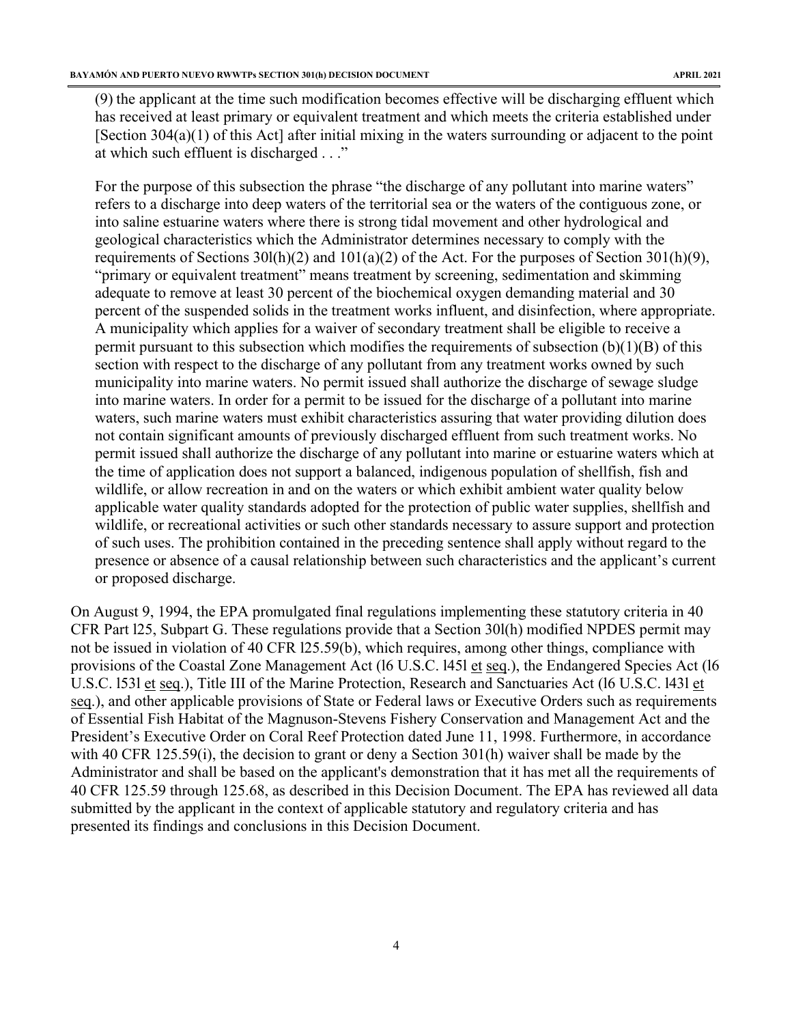(9) the applicant at the time such modification becomes effective will be discharging effluent which has received at least primary or equivalent treatment and which meets the criteria established under [Section 304(a)(1) of this Act] after initial mixing in the waters surrounding or adjacent to the point at which such effluent is discharged . . ."

For the purpose of this subsection the phrase "the discharge of any pollutant into marine waters" refers to a discharge into deep waters of the territorial sea or the waters of the contiguous zone, or into saline estuarine waters where there is strong tidal movement and other hydrological and geological characteristics which the Administrator determines necessary to comply with the requirements of Sections 30l(h)(2) and 101(a)(2) of the Act. For the purposes of Section 301(h)(9), "primary or equivalent treatment" means treatment by screening, sedimentation and skimming adequate to remove at least 30 percent of the biochemical oxygen demanding material and 30 percent of the suspended solids in the treatment works influent, and disinfection, where appropriate. A municipality which applies for a waiver of secondary treatment shall be eligible to receive a permit pursuant to this subsection which modifies the requirements of subsection  $(b)(1)(B)$  of this section with respect to the discharge of any pollutant from any treatment works owned by such municipality into marine waters. No permit issued shall authorize the discharge of sewage sludge into marine waters. In order for a permit to be issued for the discharge of a pollutant into marine waters, such marine waters must exhibit characteristics assuring that water providing dilution does not contain significant amounts of previously discharged effluent from such treatment works. No permit issued shall authorize the discharge of any pollutant into marine or estuarine waters which at the time of application does not support a balanced, indigenous population of shellfish, fish and wildlife, or allow recreation in and on the waters or which exhibit ambient water quality below applicable water quality standards adopted for the protection of public water supplies, shellfish and wildlife, or recreational activities or such other standards necessary to assure support and protection of such uses. The prohibition contained in the preceding sentence shall apply without regard to the presence or absence of a causal relationship between such characteristics and the applicant's current or proposed discharge.

On August 9, 1994, the EPA promulgated final regulations implementing these statutory criteria in 40 CFR Part l25, Subpart G. These regulations provide that a Section 30l(h) modified NPDES permit may not be issued in violation of 40 CFR l25.59(b), which requires, among other things, compliance with provisions of the Coastal Zone Management Act (16 U.S.C. 1451 et seq.), the Endangered Species Act (16 U.S.C. l53l et seq.), Title III of the Marine Protection, Research and Sanctuaries Act (l6 U.S.C. l43l et seq.), and other applicable provisions of State or Federal laws or Executive Orders such as requirements of Essential Fish Habitat of the Magnuson-Stevens Fishery Conservation and Management Act and the President's Executive Order on Coral Reef Protection dated June 11, 1998. Furthermore, in accordance with 40 CFR 125.59(i), the decision to grant or deny a Section 301(h) waiver shall be made by the Administrator and shall be based on the applicant's demonstration that it has met all the requirements of 40 CFR 125.59 through 125.68, as described in this Decision Document. The EPA has reviewed all data submitted by the applicant in the context of applicable statutory and regulatory criteria and has presented its findings and conclusions in this Decision Document.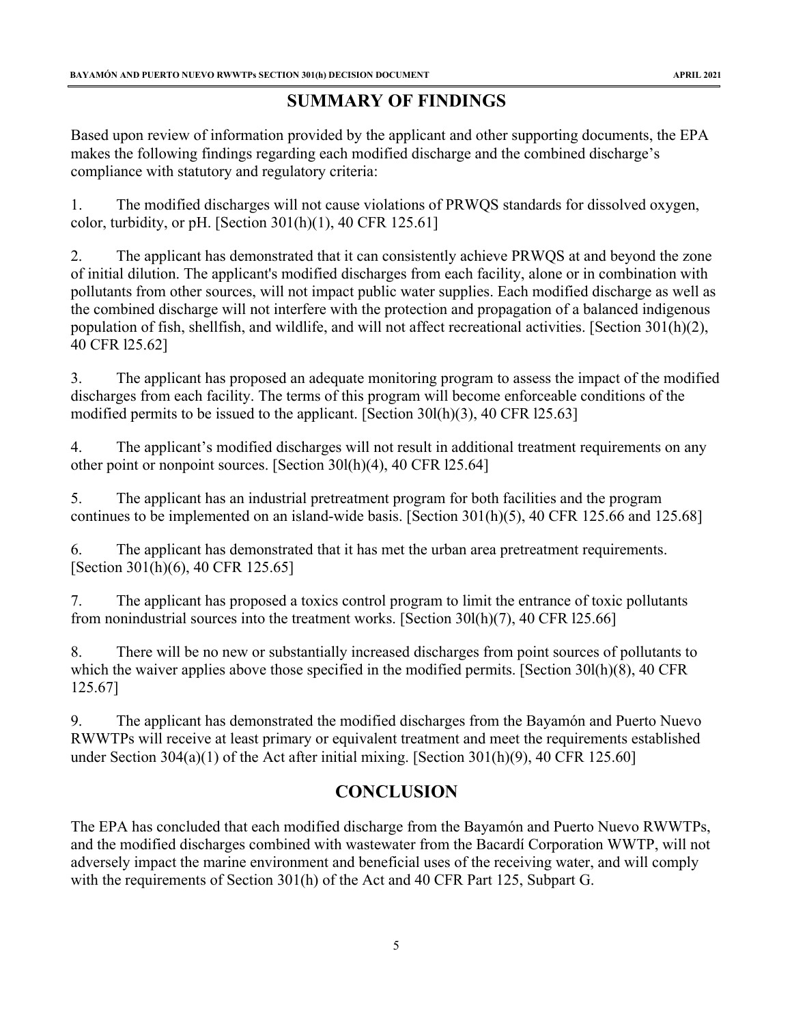# **SUMMARY OF FINDINGS**

<span id="page-5-0"></span>Based upon review of information provided by the applicant and other supporting documents, the EPA makes the following findings regarding each modified discharge and the combined discharge's compliance with statutory and regulatory criteria:

1. The modified discharges will not cause violations of PRWQS standards for dissolved oxygen, color, turbidity, or pH. [Section  $301(h)(1)$ , 40 CFR 125.61]

2. The applicant has demonstrated that it can consistently achieve PRWQS at and beyond the zone of initial dilution. The applicant's modified discharges from each facility, alone or in combination with pollutants from other sources, will not impact public water supplies. Each modified discharge as well as the combined discharge will not interfere with the protection and propagation of a balanced indigenous population of fish, shellfish, and wildlife, and will not affect recreational activities. [Section 301(h)(2), 40 CFR l25.62]

3. The applicant has proposed an adequate monitoring program to assess the impact of the modified discharges from each facility. The terms of this program will become enforceable conditions of the modified permits to be issued to the applicant. [Section 30l(h)(3), 40 CFR l25.63]

4. The applicant's modified discharges will not result in additional treatment requirements on any other point or nonpoint sources. [Section 30l(h)(4), 40 CFR l25.64]

5. The applicant has an industrial pretreatment program for both facilities and the program continues to be implemented on an island-wide basis. [Section 301(h)(5), 40 CFR 125.66 and 125.68]

6. The applicant has demonstrated that it has met the urban area pretreatment requirements. [Section 301(h)(6), 40 CFR 125.65]

7. The applicant has proposed a toxics control program to limit the entrance of toxic pollutants from nonindustrial sources into the treatment works. [Section 30l(h)(7), 40 CFR l25.66]

8. There will be no new or substantially increased discharges from point sources of pollutants to which the waiver applies above those specified in the modified permits. [Section 301(h)(8), 40 CFR 125.67]

9. The applicant has demonstrated the modified discharges from the Bayamón and Puerto Nuevo RWWTPs will receive at least primary or equivalent treatment and meet the requirements established under Section 304(a)(1) of the Act after initial mixing. [Section 301(h)(9), 40 CFR 125.60]

# **CONCLUSION**

<span id="page-5-1"></span>The EPA has concluded that each modified discharge from the Bayamón and Puerto Nuevo RWWTPs, and the modified discharges combined with wastewater from the Bacardí Corporation WWTP, will not adversely impact the marine environment and beneficial uses of the receiving water, and will comply with the requirements of Section 301(h) of the Act and 40 CFR Part 125, Subpart G.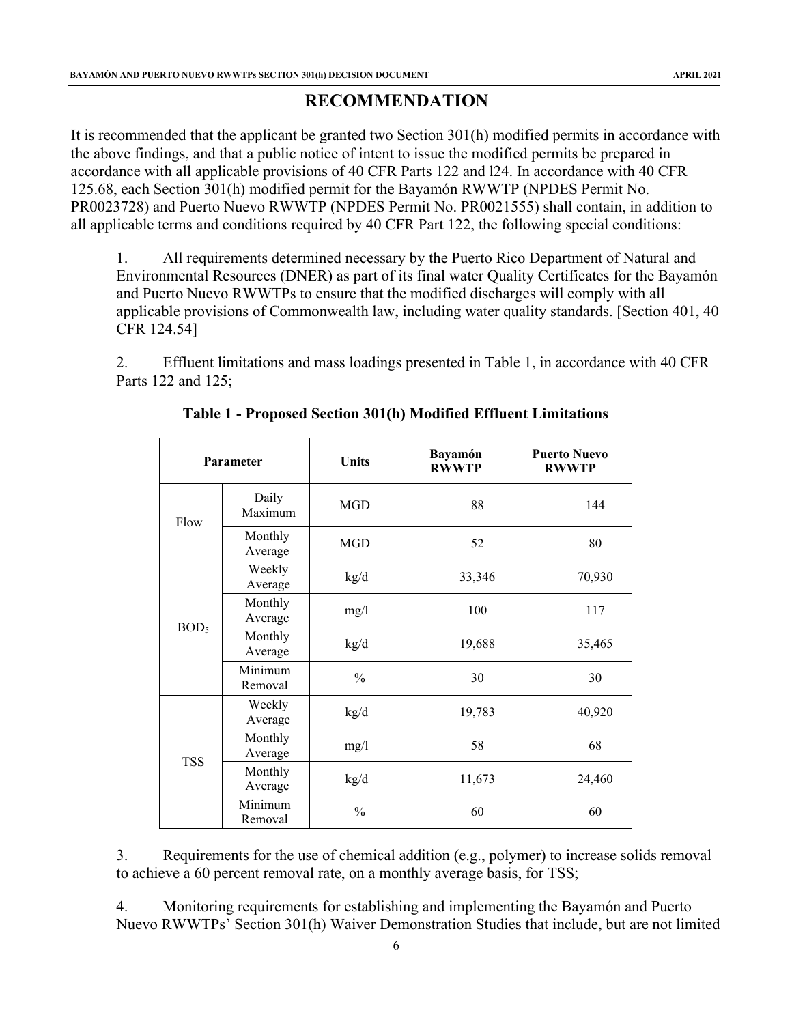# **RECOMMENDATION**

<span id="page-6-0"></span>It is recommended that the applicant be granted two Section 301(h) modified permits in accordance with the above findings, and that a public notice of intent to issue the modified permits be prepared in accordance with all applicable provisions of 40 CFR Parts 122 and l24. In accordance with 40 CFR 125.68, each Section 301(h) modified permit for the Bayamón RWWTP (NPDES Permit No. PR0023728) and Puerto Nuevo RWWTP (NPDES Permit No. PR0021555) shall contain, in addition to all applicable terms and conditions required by 40 CFR Part 122, the following special conditions:

1. All requirements determined necessary by the Puerto Rico Department of Natural and Environmental Resources (DNER) as part of its final water Quality Certificates for the Bayamón and Puerto Nuevo RWWTPs to ensure that the modified discharges will comply with all applicable provisions of Commonwealth law, including water quality standards. [Section 401, 40 CFR 124.54]

2. Effluent limitations and mass loadings presented in Table 1, in accordance with 40 CFR Parts 122 and 125;

|                                        | Parameter                                | Units         | <b>Bayamón</b><br><b>RWWTP</b> | <b>Puerto Nuevo</b><br><b>RWWTP</b> |
|----------------------------------------|------------------------------------------|---------------|--------------------------------|-------------------------------------|
| Flow                                   | Daily<br>Maximum                         | <b>MGD</b>    | 88                             | 144                                 |
|                                        | Monthly<br>Average                       | <b>MGD</b>    | 52                             | 80                                  |
|                                        | Weekly<br>Average                        | kg/d          | 33,346                         | 70,930                              |
| Monthly<br>Average                     |                                          | mg/1          | 100                            | 117                                 |
| BOD <sub>5</sub><br>Monthly<br>Average | kg/d                                     | 19,688        | 35,465                         |                                     |
|                                        | Minimum<br>Removal                       | $\frac{0}{0}$ | 30                             | 30                                  |
|                                        | Weekly<br>Average                        | kg/d          | 19,783                         | 40,920                              |
|                                        | Monthly<br>Average                       | mg/1          | 58                             | 68                                  |
|                                        | <b>TSS</b><br>Monthly<br>kg/d<br>Average |               | 11,673                         | 24,460                              |
|                                        | Minimum<br>Removal                       | $\frac{0}{0}$ | 60                             | 60                                  |

|  |  |  | Table 1 - Proposed Section 301(h) Modified Effluent Limitations |
|--|--|--|-----------------------------------------------------------------|
|  |  |  |                                                                 |

3. Requirements for the use of chemical addition (e.g., polymer) to increase solids removal to achieve a 60 percent removal rate, on a monthly average basis, for TSS;

4. Monitoring requirements for establishing and implementing the Bayamón and Puerto Nuevo RWWTPs' Section 301(h) Waiver Demonstration Studies that include, but are not limited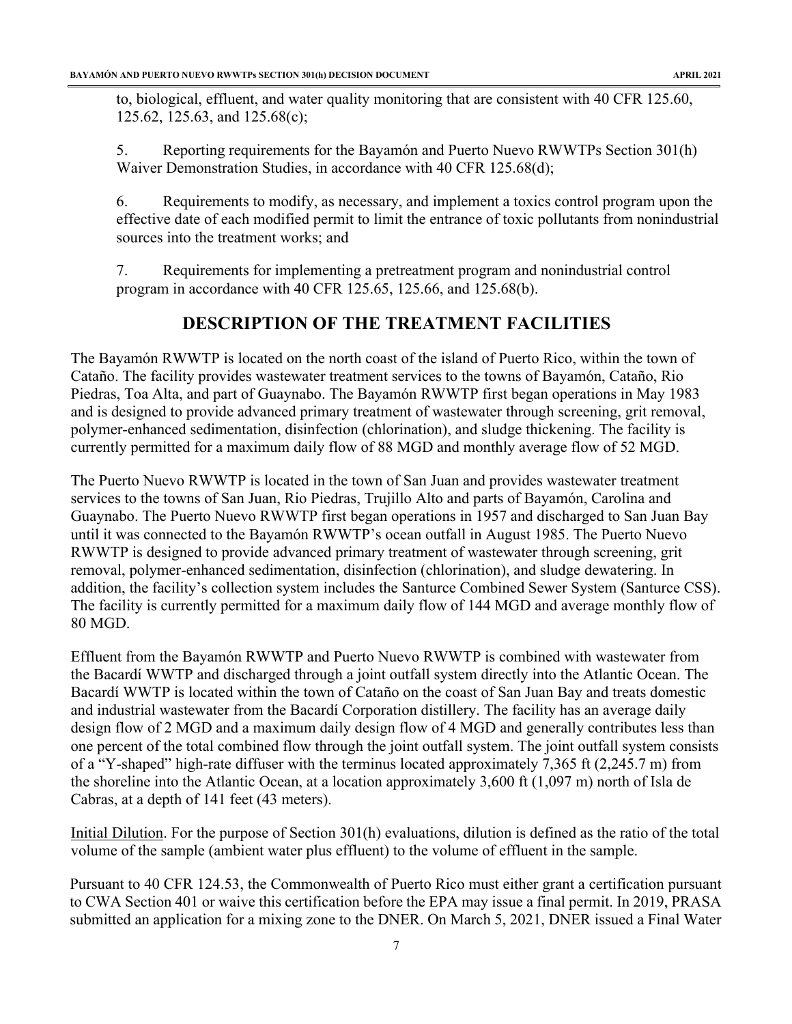to, biological, effluent, and water quality monitoring that are consistent with 40 CFR 125.60, 125.62, 125.63, and 125.68(c);

5. Reporting requirements for the Bayamón and Puerto Nuevo RWWTPs Section 301(h) Waiver Demonstration Studies, in accordance with 40 CFR 125.68(d);

6. Requirements to modify, as necessary, and implement a toxics control program upon the effective date of each modified permit to limit the entrance of toxic pollutants from nonindustrial sources into the treatment works; and

7. Requirements for implementing a pretreatment program and nonindustrial control program in accordance with 40 CFR 125.65, 125.66, and 125.68(b).

# **DESCRIPTION OF THE TREATMENT FACILITIES**

<span id="page-7-0"></span>The Bayamón RWWTP is located on the north coast of the island of Puerto Rico, within the town of Cataño. The facility provides wastewater treatment services to the towns of Bayamón, Cataño, Rio Piedras, Toa Alta, and part of Guaynabo. The Bayamón RWWTP first began operations in May 1983 and is designed to provide advanced primary treatment of wastewater through screening, grit removal, polymer-enhanced sedimentation, disinfection (chlorination), and sludge thickening. The facility is currently permitted for a maximum daily flow of 88 MGD and monthly average flow of 52 MGD.

The Puerto Nuevo RWWTP is located in the town of San Juan and provides wastewater treatment services to the towns of San Juan, Rio Piedras, Trujillo Alto and parts of Bayamón, Carolina and Guaynabo. The Puerto Nuevo RWWTP first began operations in 1957 and discharged to San Juan Bay until it was connected to the Bayamón RWWTP's ocean outfall in August 1985. The Puerto Nuevo RWWTP is designed to provide advanced primary treatment of wastewater through screening, grit removal, polymer-enhanced sedimentation, disinfection (chlorination), and sludge dewatering. In addition, the facility's collection system includes the Santurce Combined Sewer System (Santurce CSS). The facility is currently permitted for a maximum daily flow of 144 MGD and average monthly flow of 80 MGD.

Effluent from the Bayamón RWWTP and Puerto Nuevo RWWTP is combined with wastewater from the Bacardí WWTP and discharged through a joint outfall system directly into the Atlantic Ocean. The Bacardí WWTP is located within the town of Cataño on the coast of San Juan Bay and treats domestic and industrial wastewater from the Bacardí Corporation distillery. The facility has an average daily design flow of 2 MGD and a maximum daily design flow of 4 MGD and generally contributes less than one percent of the total combined flow through the joint outfall system. The joint outfall system consists of a "Y-shaped" high-rate diffuser with the terminus located approximately 7,365 ft (2,245.7 m) from the shoreline into the Atlantic Ocean, at a location approximately 3,600 ft (1,097 m) north of Isla de Cabras, at a depth of 141 feet (43 meters).

Initial Dilution. For the purpose of Section 301(h) evaluations, dilution is defined as the ratio of the total volume of the sample (ambient water plus effluent) to the volume of effluent in the sample.

Pursuant to 40 CFR 124.53, the Commonwealth of Puerto Rico must either grant a certification pursuant to CWA Section 401 or waive this certification before the EPA may issue a final permit. In 2019, PRASA submitted an application for a mixing zone to the DNER. On March 5, 2021, DNER issued a Final Water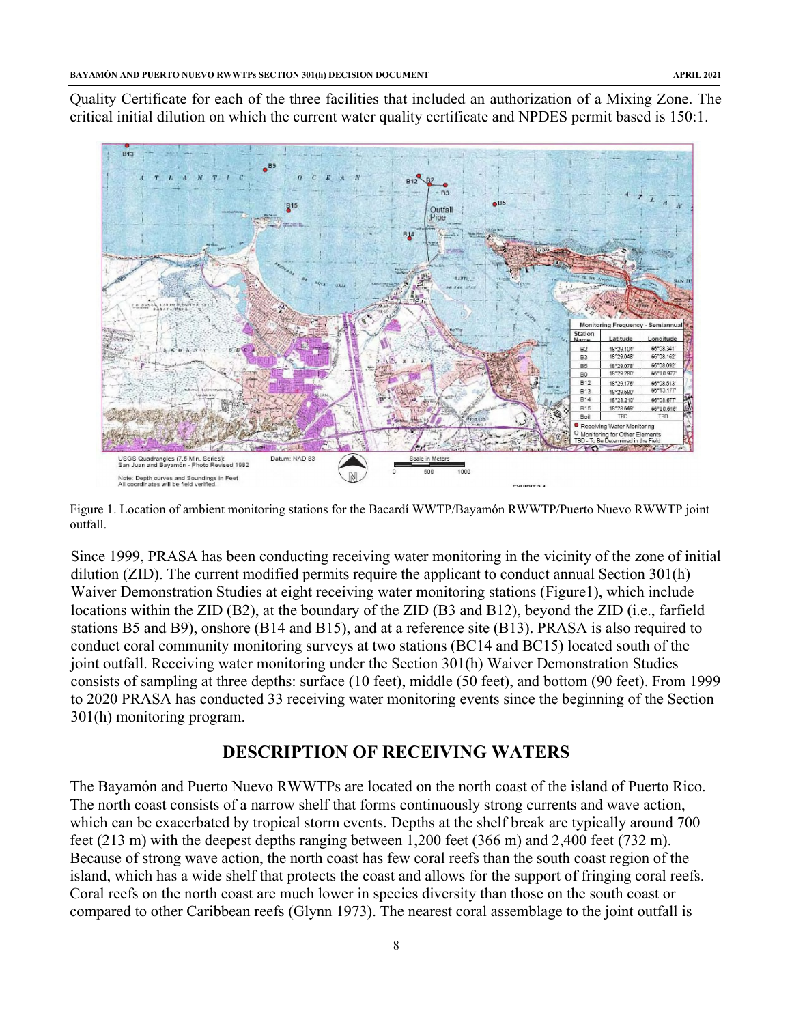Quality Certificate for each of the three facilities that included an authorization of a Mixing Zone. The critical initial dilution on which the current water quality certificate and NPDES permit based is 150:1.



Figure 1. Location of ambient monitoring stations for the Bacardí WWTP/Bayamón RWWTP/Puerto Nuevo RWWTP joint outfall.

Since 1999, PRASA has been conducting receiving water monitoring in the vicinity of the zone of initial dilution (ZID). The current modified permits require the applicant to conduct annual Section 301(h) Waiver Demonstration Studies at eight receiving water monitoring stations (Figure1), which include locations within the ZID (B2), at the boundary of the ZID (B3 and B12), beyond the ZID (i.e., farfield stations B5 and B9), onshore (B14 and B15), and at a reference site (B13). PRASA is also required to conduct coral community monitoring surveys at two stations (BC14 and BC15) located south of the joint outfall. Receiving water monitoring under the Section 301(h) Waiver Demonstration Studies consists of sampling at three depths: surface (10 feet), middle (50 feet), and bottom (90 feet). From 1999 to 2020 PRASA has conducted 33 receiving water monitoring events since the beginning of the Section 301(h) monitoring program.

# **DESCRIPTION OF RECEIVING WATERS**

<span id="page-8-0"></span>The Bayamón and Puerto Nuevo RWWTPs are located on the north coast of the island of Puerto Rico. The north coast consists of a narrow shelf that forms continuously strong currents and wave action, which can be exacerbated by tropical storm events. Depths at the shelf break are typically around 700 feet (213 m) with the deepest depths ranging between 1,200 feet (366 m) and 2,400 feet (732 m). Because of strong wave action, the north coast has few coral reefs than the south coast region of the island, which has a wide shelf that protects the coast and allows for the support of fringing coral reefs. Coral reefs on the north coast are much lower in species diversity than those on the south coast or compared to other Caribbean reefs (Glynn 1973). The nearest coral assemblage to the joint outfall is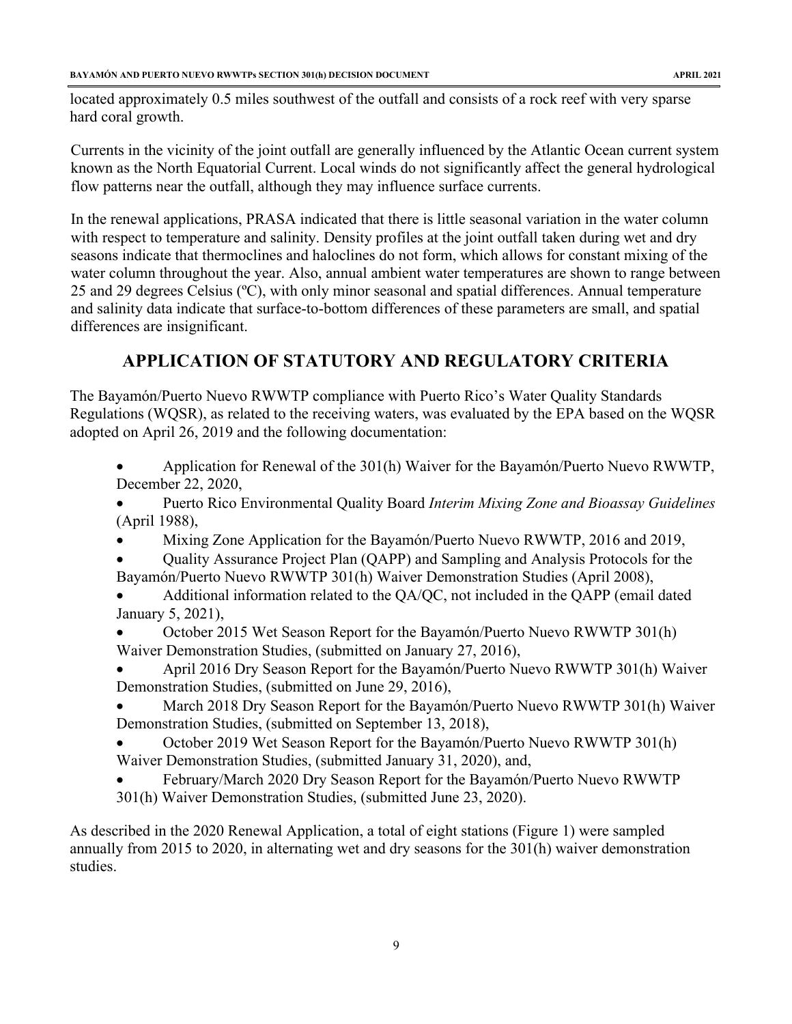located approximately 0.5 miles southwest of the outfall and consists of a rock reef with very sparse hard coral growth.

Currents in the vicinity of the joint outfall are generally influenced by the Atlantic Ocean current system known as the North Equatorial Current. Local winds do not significantly affect the general hydrological flow patterns near the outfall, although they may influence surface currents.

In the renewal applications, PRASA indicated that there is little seasonal variation in the water column with respect to temperature and salinity. Density profiles at the joint outfall taken during wet and dry seasons indicate that thermoclines and haloclines do not form, which allows for constant mixing of the water column throughout the year. Also, annual ambient water temperatures are shown to range between 25 and 29 degrees Celsius (ºC), with only minor seasonal and spatial differences. Annual temperature and salinity data indicate that surface-to-bottom differences of these parameters are small, and spatial differences are insignificant.

# **APPLICATION OF STATUTORY AND REGULATORY CRITERIA**

<span id="page-9-0"></span>The Bayamón/Puerto Nuevo RWWTP compliance with Puerto Rico's Water Quality Standards Regulations (WQSR), as related to the receiving waters, was evaluated by the EPA based on the WQSR adopted on April 26, 2019 and the following documentation:

- Application for Renewal of the 301(h) Waiver for the Bayamón/Puerto Nuevo RWWTP, December 22, 2020,
- Puerto Rico Environmental Quality Board *Interim Mixing Zone and Bioassay Guidelines* (April 1988),
- Mixing Zone Application for the Bayamón/Puerto Nuevo RWWTP, 2016 and 2019,
- Quality Assurance Project Plan (QAPP) and Sampling and Analysis Protocols for the Bayamón/Puerto Nuevo RWWTP 301(h) Waiver Demonstration Studies (April 2008),
- Additional information related to the QA/QC, not included in the QAPP (email dated January 5, 2021),
- October 2015 Wet Season Report for the Bayamón/Puerto Nuevo RWWTP 301(h) Waiver Demonstration Studies, (submitted on January 27, 2016),
- April 2016 Dry Season Report for the Bayamón/Puerto Nuevo RWWTP 301(h) Waiver Demonstration Studies, (submitted on June 29, 2016),
- March 2018 Dry Season Report for the Bayamón/Puerto Nuevo RWWTP 301(h) Waiver Demonstration Studies, (submitted on September 13, 2018),
- October 2019 Wet Season Report for the Bayamón/Puerto Nuevo RWWTP 301(h) Waiver Demonstration Studies, (submitted January 31, 2020), and,
- February/March 2020 Dry Season Report for the Bayamón/Puerto Nuevo RWWTP 301(h) Waiver Demonstration Studies, (submitted June 23, 2020).

As described in the 2020 Renewal Application, a total of eight stations (Figure 1) were sampled annually from 2015 to 2020, in alternating wet and dry seasons for the 301(h) waiver demonstration studies.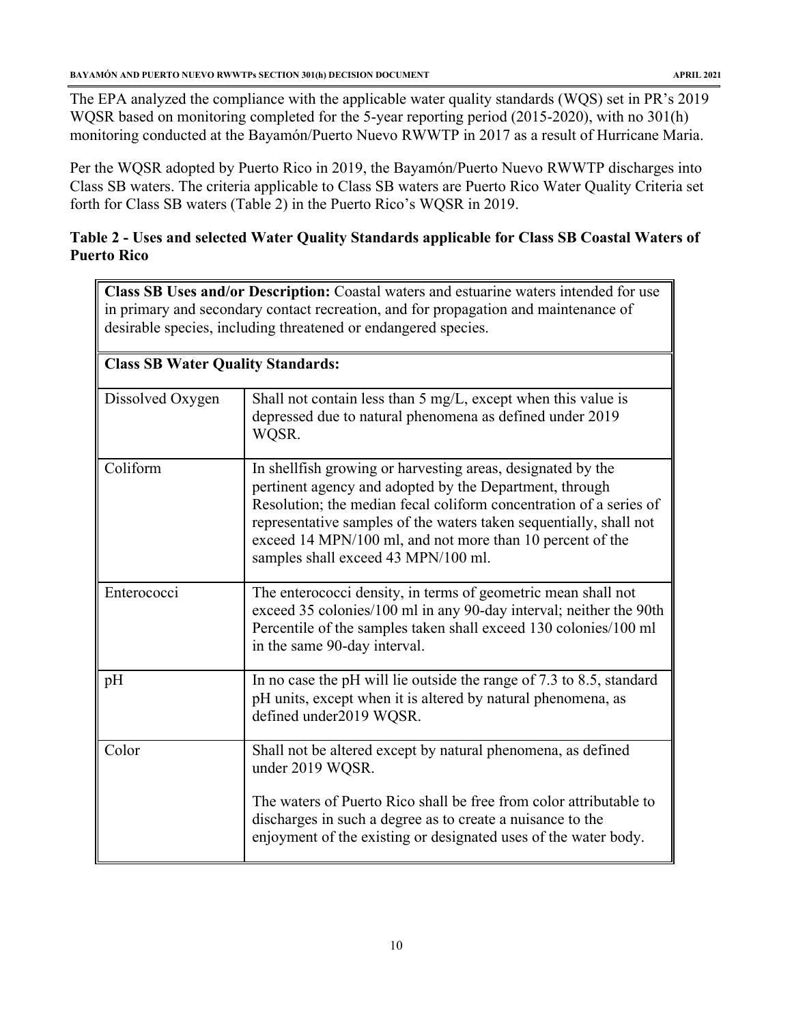The EPA analyzed the compliance with the applicable water quality standards (WQS) set in PR's 2019 WQSR based on monitoring completed for the 5-year reporting period (2015-2020), with no 301(h) monitoring conducted at the Bayamón/Puerto Nuevo RWWTP in 2017 as a result of Hurricane Maria.

Per the WQSR adopted by Puerto Rico in 2019, the Bayamón/Puerto Nuevo RWWTP discharges into Class SB waters. The criteria applicable to Class SB waters are Puerto Rico Water Quality Criteria set forth for Class SB waters (Table 2) in the Puerto Rico's WQSR in 2019.

# **Table 2 - Uses and selected Water Quality Standards applicable for Class SB Coastal Waters of Puerto Rico**

**Class SB Uses and/or Description:** Coastal waters and estuarine waters intended for use in primary and secondary contact recreation, and for propagation and maintenance of desirable species, including threatened or endangered species.

| <b>Class SB Water Quality Standards:</b> |                                                                                                                                                                                                                                                                                                                                                                         |  |  |
|------------------------------------------|-------------------------------------------------------------------------------------------------------------------------------------------------------------------------------------------------------------------------------------------------------------------------------------------------------------------------------------------------------------------------|--|--|
| Dissolved Oxygen                         | Shall not contain less than 5 mg/L, except when this value is<br>depressed due to natural phenomena as defined under 2019<br>WOSR.                                                                                                                                                                                                                                      |  |  |
| Coliform                                 | In shell fish growing or harvesting areas, designated by the<br>pertinent agency and adopted by the Department, through<br>Resolution; the median fecal coliform concentration of a series of<br>representative samples of the waters taken sequentially, shall not<br>exceed 14 MPN/100 ml, and not more than 10 percent of the<br>samples shall exceed 43 MPN/100 ml. |  |  |
| Enterococci                              | The enterococci density, in terms of geometric mean shall not<br>exceed 35 colonies/100 ml in any 90-day interval; neither the 90th<br>Percentile of the samples taken shall exceed 130 colonies/100 ml<br>in the same 90-day interval.                                                                                                                                 |  |  |
| pH                                       | In no case the pH will lie outside the range of 7.3 to 8.5, standard<br>pH units, except when it is altered by natural phenomena, as<br>defined under2019 WQSR.                                                                                                                                                                                                         |  |  |
| Color                                    | Shall not be altered except by natural phenomena, as defined<br>under 2019 WQSR.<br>The waters of Puerto Rico shall be free from color attributable to<br>discharges in such a degree as to create a nuisance to the<br>enjoyment of the existing or designated uses of the water body.                                                                                 |  |  |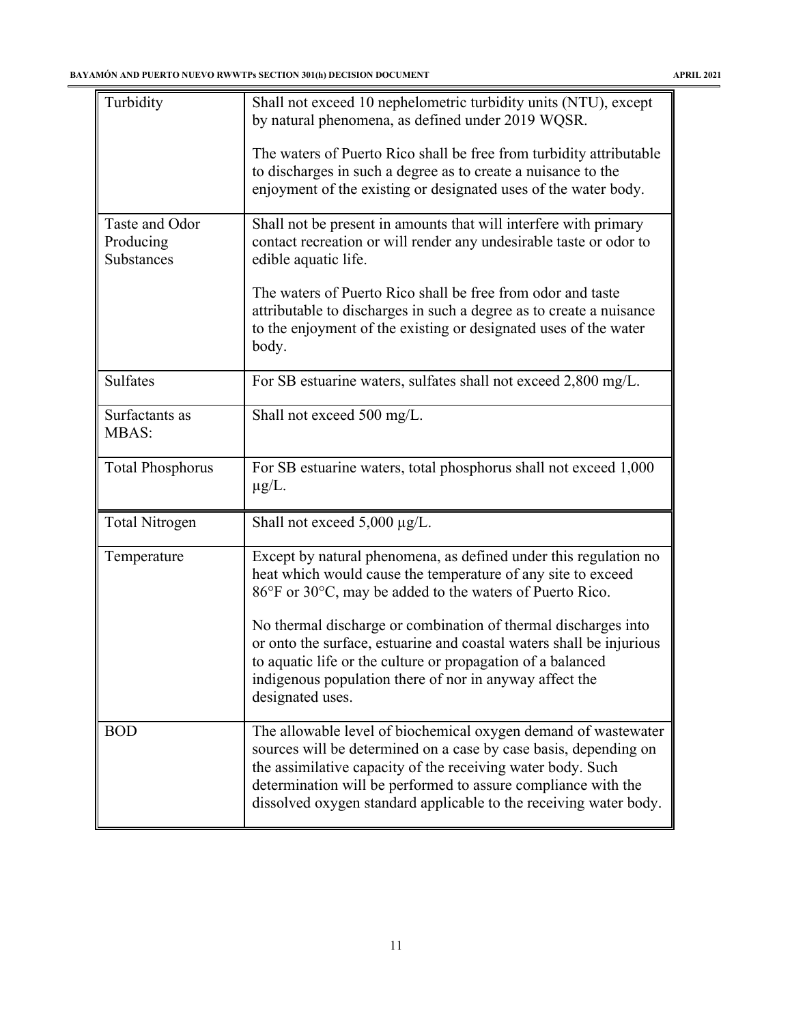| Turbidity                                 | Shall not exceed 10 nephelometric turbidity units (NTU), except<br>by natural phenomena, as defined under 2019 WQSR.                                                                                               |
|-------------------------------------------|--------------------------------------------------------------------------------------------------------------------------------------------------------------------------------------------------------------------|
|                                           | The waters of Puerto Rico shall be free from turbidity attributable<br>to discharges in such a degree as to create a nuisance to the<br>enjoyment of the existing or designated uses of the water body.            |
| Taste and Odor<br>Producing<br>Substances | Shall not be present in amounts that will interfere with primary<br>contact recreation or will render any undesirable taste or odor to<br>edible aquatic life.                                                     |
|                                           | The waters of Puerto Rico shall be free from odor and taste<br>attributable to discharges in such a degree as to create a nuisance<br>to the enjoyment of the existing or designated uses of the water<br>body.    |
| <b>Sulfates</b>                           | For SB estuarine waters, sulfates shall not exceed 2,800 mg/L.                                                                                                                                                     |
| Surfactants as<br><b>MBAS:</b>            | Shall not exceed 500 mg/L.                                                                                                                                                                                         |
| <b>Total Phosphorus</b>                   | For SB estuarine waters, total phosphorus shall not exceed 1,000<br>$\mu$ g/L.                                                                                                                                     |
| <b>Total Nitrogen</b>                     | Shall not exceed $5,000 \mu g/L$ .                                                                                                                                                                                 |
| Temperature                               | Except by natural phenomena, as defined under this regulation no<br>heat which would cause the temperature of any site to exceed<br>86°F or 30°C, may be added to the waters of Puerto Rico.                       |
|                                           | No thermal discharge or combination of thermal discharges into                                                                                                                                                     |
|                                           | or onto the surface, estuarine and coastal waters shall be injurious<br>to aquatic life or the culture or propagation of a balanced<br>indigenous population there of nor in anyway affect the<br>designated uses. |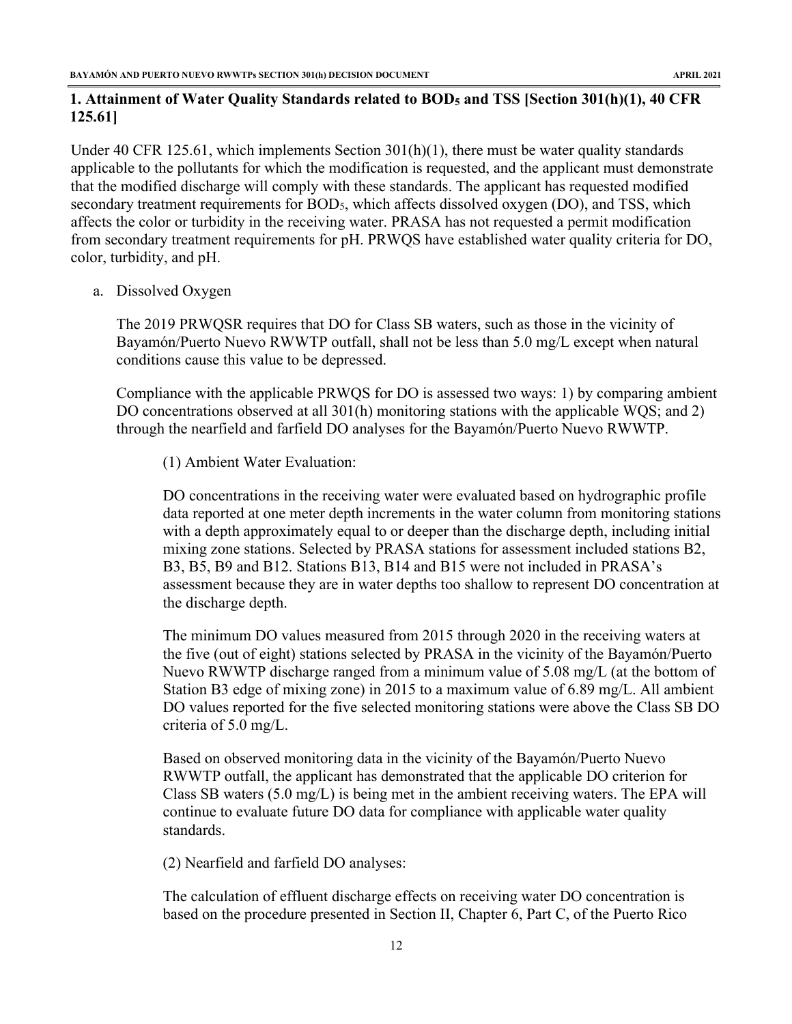# <span id="page-12-0"></span>**1. Attainment of Water Quality Standards related to BOD5 and TSS [Section 301(h)(1), 40 CFR 125.61]**

Under 40 CFR 125.61, which implements Section 301(h)(1), there must be water quality standards applicable to the pollutants for which the modification is requested, and the applicant must demonstrate that the modified discharge will comply with these standards. The applicant has requested modified secondary treatment requirements for BOD5, which affects dissolved oxygen (DO), and TSS, which affects the color or turbidity in the receiving water. PRASA has not requested a permit modification from secondary treatment requirements for pH. PRWQS have established water quality criteria for DO, color, turbidity, and pH.

a. Dissolved Oxygen

The 2019 PRWQSR requires that DO for Class SB waters, such as those in the vicinity of Bayamón/Puerto Nuevo RWWTP outfall, shall not be less than 5.0 mg/L except when natural conditions cause this value to be depressed.

Compliance with the applicable PRWQS for DO is assessed two ways: 1) by comparing ambient DO concentrations observed at all 301(h) monitoring stations with the applicable WQS; and 2) through the nearfield and farfield DO analyses for the Bayamón/Puerto Nuevo RWWTP.

(1) Ambient Water Evaluation:

DO concentrations in the receiving water were evaluated based on hydrographic profile data reported at one meter depth increments in the water column from monitoring stations with a depth approximately equal to or deeper than the discharge depth, including initial mixing zone stations. Selected by PRASA stations for assessment included stations B2, B3, B5, B9 and B12. Stations B13, B14 and B15 were not included in PRASA's assessment because they are in water depths too shallow to represent DO concentration at the discharge depth.

The minimum DO values measured from 2015 through 2020 in the receiving waters at the five (out of eight) stations selected by PRASA in the vicinity of the Bayamón/Puerto Nuevo RWWTP discharge ranged from a minimum value of 5.08 mg/L (at the bottom of Station B3 edge of mixing zone) in 2015 to a maximum value of 6.89 mg/L. All ambient DO values reported for the five selected monitoring stations were above the Class SB DO criteria of 5.0 mg/L.

Based on observed monitoring data in the vicinity of the Bayamón/Puerto Nuevo RWWTP outfall, the applicant has demonstrated that the applicable DO criterion for Class SB waters (5.0 mg/L) is being met in the ambient receiving waters. The EPA will continue to evaluate future DO data for compliance with applicable water quality standards.

(2) Nearfield and farfield DO analyses:

The calculation of effluent discharge effects on receiving water DO concentration is based on the procedure presented in Section II, Chapter 6, Part C, of the Puerto Rico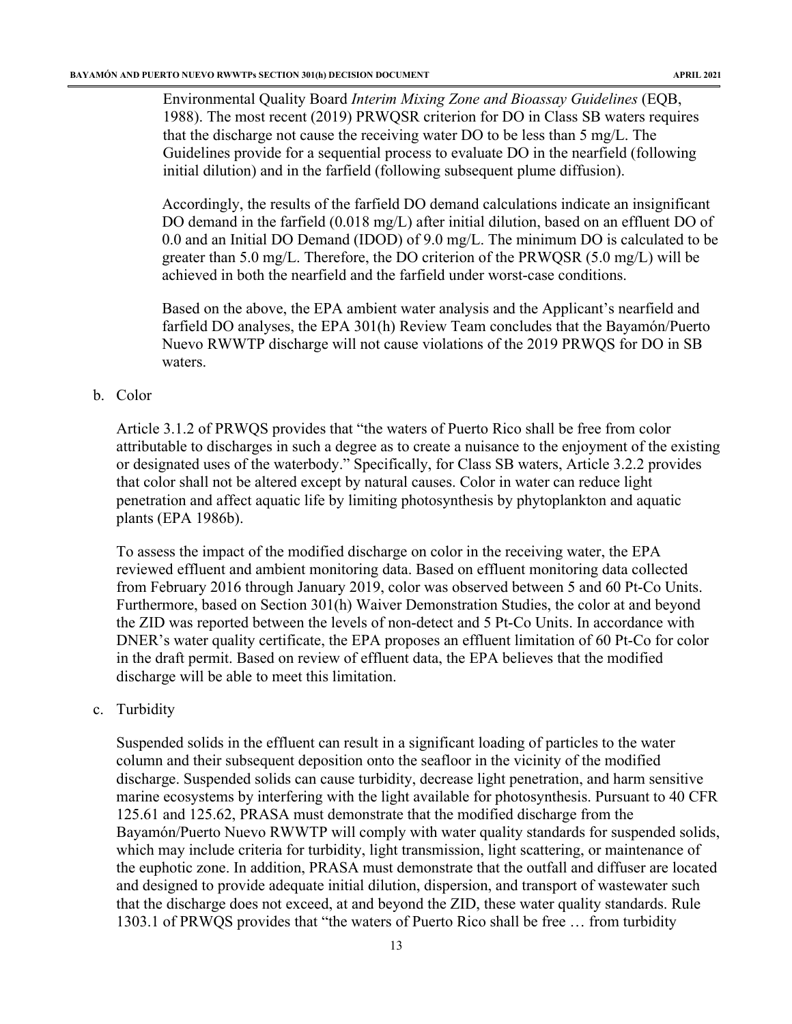Environmental Quality Board *Interim Mixing Zone and Bioassay Guidelines* (EQB, 1988). The most recent (2019) PRWQSR criterion for DO in Class SB waters requires that the discharge not cause the receiving water DO to be less than 5 mg/L. The Guidelines provide for a sequential process to evaluate DO in the nearfield (following initial dilution) and in the farfield (following subsequent plume diffusion).

Accordingly, the results of the farfield DO demand calculations indicate an insignificant DO demand in the farfield (0.018 mg/L) after initial dilution, based on an effluent DO of 0.0 and an Initial DO Demand (IDOD) of 9.0 mg/L. The minimum DO is calculated to be greater than 5.0 mg/L. Therefore, the DO criterion of the PRWQSR (5.0 mg/L) will be achieved in both the nearfield and the farfield under worst-case conditions.

Based on the above, the EPA ambient water analysis and the Applicant's nearfield and farfield DO analyses, the EPA 301(h) Review Team concludes that the Bayamón/Puerto Nuevo RWWTP discharge will not cause violations of the 2019 PRWQS for DO in SB waters.

#### b. Color

Article 3.1.2 of PRWQS provides that "the waters of Puerto Rico shall be free from color attributable to discharges in such a degree as to create a nuisance to the enjoyment of the existing or designated uses of the waterbody." Specifically, for Class SB waters, Article 3.2.2 provides that color shall not be altered except by natural causes. Color in water can reduce light penetration and affect aquatic life by limiting photosynthesis by phytoplankton and aquatic plants (EPA 1986b).

To assess the impact of the modified discharge on color in the receiving water, the EPA reviewed effluent and ambient monitoring data. Based on effluent monitoring data collected from February 2016 through January 2019, color was observed between 5 and 60 Pt-Co Units. Furthermore, based on Section 301(h) Waiver Demonstration Studies, the color at and beyond the ZID was reported between the levels of non-detect and 5 Pt-Co Units. In accordance with DNER's water quality certificate, the EPA proposes an effluent limitation of 60 Pt-Co for color in the draft permit. Based on review of effluent data, the EPA believes that the modified discharge will be able to meet this limitation.

#### c. Turbidity

Suspended solids in the effluent can result in a significant loading of particles to the water column and their subsequent deposition onto the seafloor in the vicinity of the modified discharge. Suspended solids can cause turbidity, decrease light penetration, and harm sensitive marine ecosystems by interfering with the light available for photosynthesis. Pursuant to 40 CFR 125.61 and 125.62, PRASA must demonstrate that the modified discharge from the Bayamón/Puerto Nuevo RWWTP will comply with water quality standards for suspended solids, which may include criteria for turbidity, light transmission, light scattering, or maintenance of the euphotic zone. In addition, PRASA must demonstrate that the outfall and diffuser are located and designed to provide adequate initial dilution, dispersion, and transport of wastewater such that the discharge does not exceed, at and beyond the ZID, these water quality standards. Rule 1303.1 of PRWQS provides that "the waters of Puerto Rico shall be free … from turbidity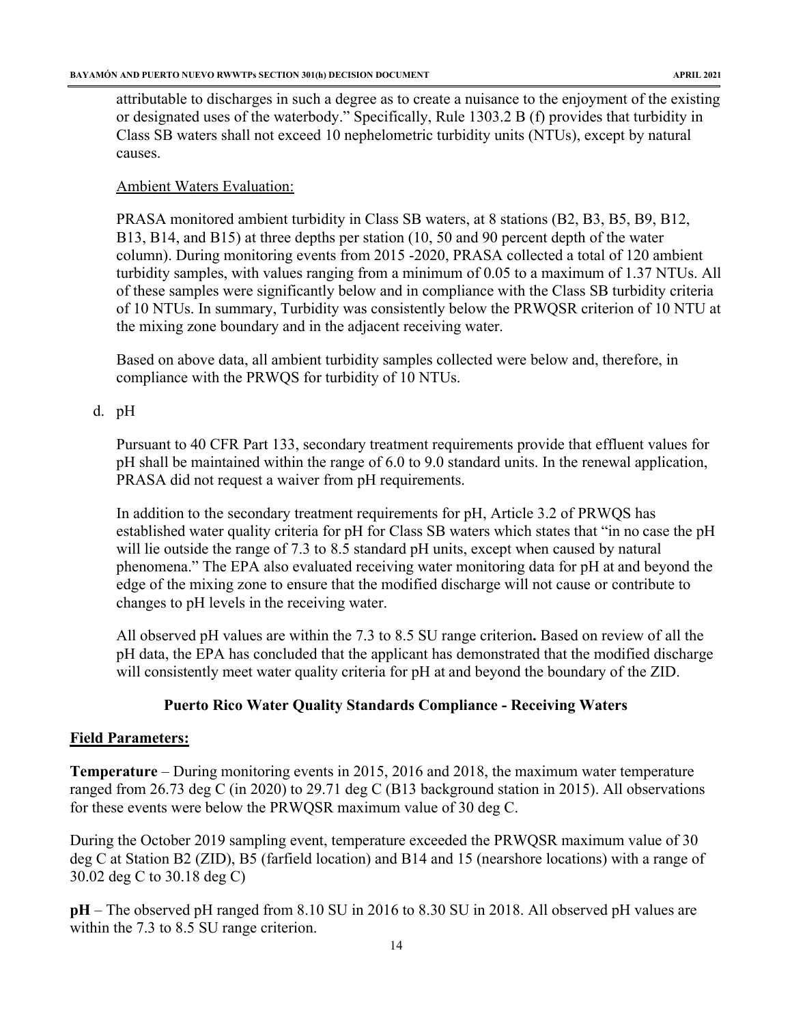attributable to discharges in such a degree as to create a nuisance to the enjoyment of the existing or designated uses of the waterbody." Specifically, Rule 1303.2 B (f) provides that turbidity in Class SB waters shall not exceed 10 nephelometric turbidity units (NTUs), except by natural causes.

# Ambient Waters Evaluation:

PRASA monitored ambient turbidity in Class SB waters, at 8 stations (B2, B3, B5, B9, B12, B13, B14, and B15) at three depths per station (10, 50 and 90 percent depth of the water column). During monitoring events from 2015 -2020, PRASA collected a total of 120 ambient turbidity samples, with values ranging from a minimum of 0.05 to a maximum of 1.37 NTUs. All of these samples were significantly below and in compliance with the Class SB turbidity criteria of 10 NTUs. In summary, Turbidity was consistently below the PRWQSR criterion of 10 NTU at the mixing zone boundary and in the adjacent receiving water.

Based on above data, all ambient turbidity samples collected were below and, therefore, in compliance with the PRWQS for turbidity of 10 NTUs.

# d. pH

Pursuant to 40 CFR Part 133, secondary treatment requirements provide that effluent values for pH shall be maintained within the range of 6.0 to 9.0 standard units. In the renewal application, PRASA did not request a waiver from pH requirements.

In addition to the secondary treatment requirements for pH, Article 3.2 of PRWQS has established water quality criteria for pH for Class SB waters which states that "in no case the pH will lie outside the range of 7.3 to 8.5 standard pH units, except when caused by natural phenomena." The EPA also evaluated receiving water monitoring data for pH at and beyond the edge of the mixing zone to ensure that the modified discharge will not cause or contribute to changes to pH levels in the receiving water.

All observed pH values are within the 7.3 to 8.5 SU range criterion**.** Based on review of all the pH data, the EPA has concluded that the applicant has demonstrated that the modified discharge will consistently meet water quality criteria for pH at and beyond the boundary of the ZID.

# **Puerto Rico Water Quality Standards Compliance - Receiving Waters**

# **Field Parameters:**

**Temperature** – During monitoring events in 2015, 2016 and 2018, the maximum water temperature ranged from 26.73 deg C (in 2020) to 29.71 deg C (B13 background station in 2015). All observations for these events were below the PRWQSR maximum value of 30 deg C.

During the October 2019 sampling event, temperature exceeded the PRWQSR maximum value of 30 deg C at Station B2 (ZID), B5 (farfield location) and B14 and 15 (nearshore locations) with a range of 30.02 deg C to 30.18 deg C)

**pH** – The observed pH ranged from 8.10 SU in 2016 to 8.30 SU in 2018. All observed pH values are within the 7.3 to 8.5 SU range criterion.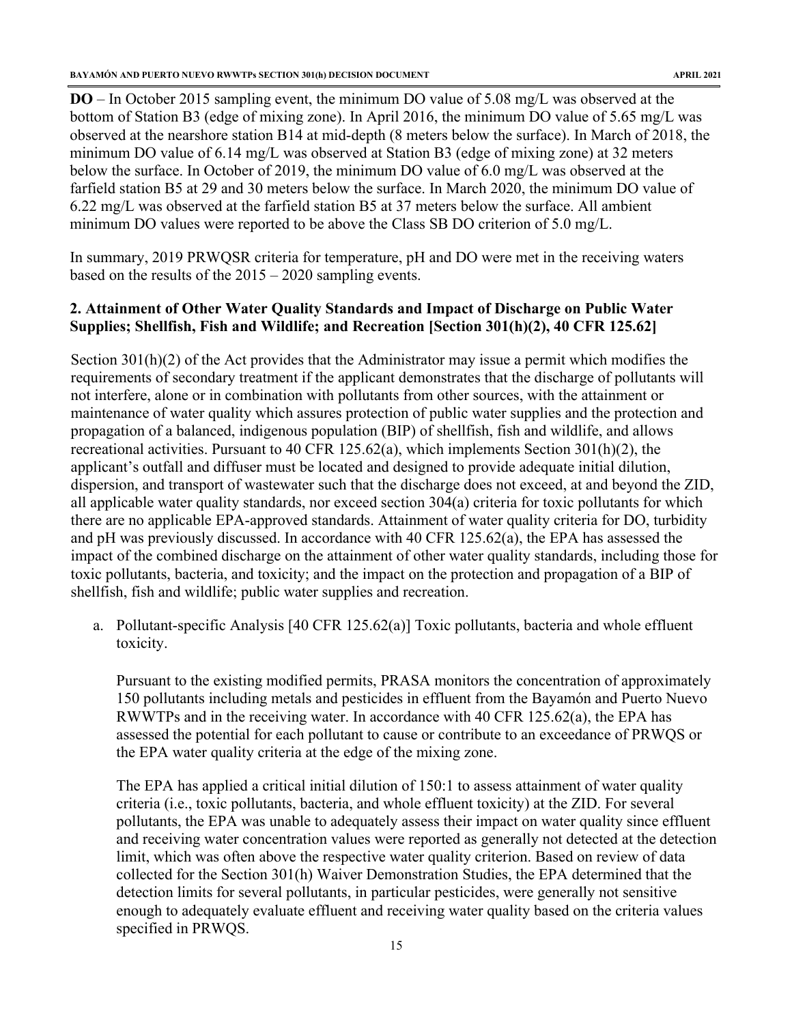**DO** – In October 2015 sampling event, the minimum DO value of 5.08 mg/L was observed at the bottom of Station B3 (edge of mixing zone). In April 2016, the minimum DO value of 5.65 mg/L was observed at the nearshore station B14 at mid-depth (8 meters below the surface). In March of 2018, the minimum DO value of 6.14 mg/L was observed at Station B3 (edge of mixing zone) at 32 meters below the surface. In October of 2019, the minimum DO value of 6.0 mg/L was observed at the farfield station B5 at 29 and 30 meters below the surface. In March 2020, the minimum DO value of 6.22 mg/L was observed at the farfield station B5 at 37 meters below the surface. All ambient minimum DO values were reported to be above the Class SB DO criterion of 5.0 mg/L.

In summary, 2019 PRWQSR criteria for temperature, pH and DO were met in the receiving waters based on the results of the 2015 – 2020 sampling events.

# <span id="page-15-0"></span>**2. Attainment of Other Water Quality Standards and Impact of Discharge on Public Water Supplies; Shellfish, Fish and Wildlife; and Recreation [Section 301(h)(2), 40 CFR 125.62]**

Section 301(h)(2) of the Act provides that the Administrator may issue a permit which modifies the requirements of secondary treatment if the applicant demonstrates that the discharge of pollutants will not interfere, alone or in combination with pollutants from other sources, with the attainment or maintenance of water quality which assures protection of public water supplies and the protection and propagation of a balanced, indigenous population (BIP) of shellfish, fish and wildlife, and allows recreational activities. Pursuant to 40 CFR 125.62(a), which implements Section  $301(h)(2)$ , the applicant's outfall and diffuser must be located and designed to provide adequate initial dilution, dispersion, and transport of wastewater such that the discharge does not exceed, at and beyond the ZID, all applicable water quality standards, nor exceed section 304(a) criteria for toxic pollutants for which there are no applicable EPA-approved standards. Attainment of water quality criteria for DO, turbidity and pH was previously discussed. In accordance with 40 CFR 125.62(a), the EPA has assessed the impact of the combined discharge on the attainment of other water quality standards, including those for toxic pollutants, bacteria, and toxicity; and the impact on the protection and propagation of a BIP of shellfish, fish and wildlife; public water supplies and recreation.

a. Pollutant-specific Analysis [40 CFR 125.62(a)] Toxic pollutants, bacteria and whole effluent toxicity.

Pursuant to the existing modified permits, PRASA monitors the concentration of approximately 150 pollutants including metals and pesticides in effluent from the Bayamón and Puerto Nuevo RWWTPs and in the receiving water. In accordance with 40 CFR 125.62(a), the EPA has assessed the potential for each pollutant to cause or contribute to an exceedance of PRWQS or the EPA water quality criteria at the edge of the mixing zone.

The EPA has applied a critical initial dilution of 150:1 to assess attainment of water quality criteria (i.e., toxic pollutants, bacteria, and whole effluent toxicity) at the ZID. For several pollutants, the EPA was unable to adequately assess their impact on water quality since effluent and receiving water concentration values were reported as generally not detected at the detection limit, which was often above the respective water quality criterion. Based on review of data collected for the Section 301(h) Waiver Demonstration Studies, the EPA determined that the detection limits for several pollutants, in particular pesticides, were generally not sensitive enough to adequately evaluate effluent and receiving water quality based on the criteria values specified in PRWQS.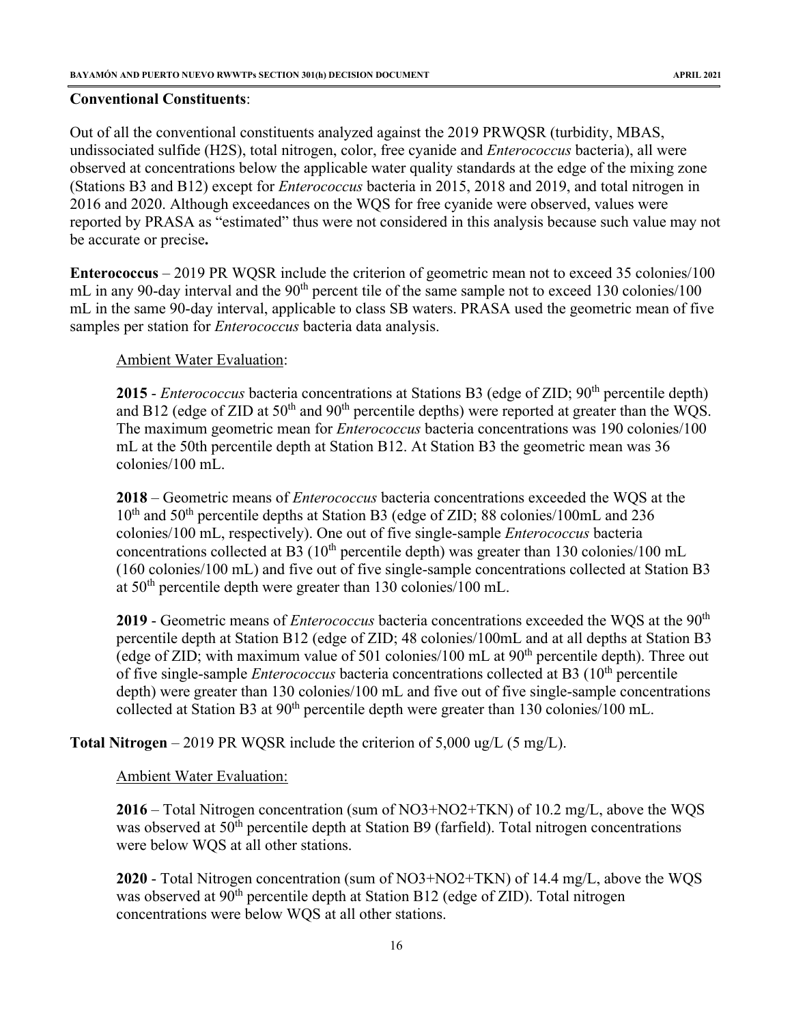#### **Conventional Constituents**:

Out of all the conventional constituents analyzed against the 2019 PRWQSR (turbidity, MBAS, undissociated sulfide (H2S), total nitrogen, color, free cyanide and *Enterococcus* bacteria), all were observed at concentrations below the applicable water quality standards at the edge of the mixing zone (Stations B3 and B12) except for *Enterococcus* bacteria in 2015, 2018 and 2019, and total nitrogen in 2016 and 2020. Although exceedances on the WQS for free cyanide were observed, values were reported by PRASA as "estimated" thus were not considered in this analysis because such value may not be accurate or precise**.** 

**Enterococcus** – 2019 PR WQSR include the criterion of geometric mean not to exceed 35 colonies/100 mL in any 90-day interval and the  $90<sup>th</sup>$  percent tile of the same sample not to exceed 130 colonies/100 mL in the same 90-day interval, applicable to class SB waters. PRASA used the geometric mean of five samples per station for *Enterococcus* bacteria data analysis.

Ambient Water Evaluation:

2015 - *Enterococcus* bacteria concentrations at Stations B3 (edge of ZID; 90<sup>th</sup> percentile depth) and B12 (edge of ZID at  $50<sup>th</sup>$  and  $90<sup>th</sup>$  percentile depths) were reported at greater than the WQS. The maximum geometric mean for *Enterococcus* bacteria concentrations was 190 colonies/100 mL at the 50th percentile depth at Station B12. At Station B3 the geometric mean was 36 colonies/100 mL.

**2018** – Geometric means of *Enterococcus* bacteria concentrations exceeded the WQS at the 10<sup>th</sup> and 50<sup>th</sup> percentile depths at Station B3 (edge of ZID; 88 colonies/100mL and 236 colonies/100 mL, respectively). One out of five single-sample *Enterococcus* bacteria concentrations collected at B3 ( $10<sup>th</sup>$  percentile depth) was greater than 130 colonies/100 mL (160 colonies/100 mL) and five out of five single-sample concentrations collected at Station B3 at  $50<sup>th</sup>$  percentile depth were greater than 130 colonies/100 mL.

2019 - Geometric means of *Enterococcus* bacteria concentrations exceeded the WQS at the 90<sup>th</sup> percentile depth at Station B12 (edge of ZID; 48 colonies/100mL and at all depths at Station B3 (edge of ZID; with maximum value of 501 colonies/100 mL at  $90<sup>th</sup>$  percentile depth). Three out of five single-sample *Enterococcus* bacteria concentrations collected at B3 (10<sup>th</sup> percentile depth) were greater than 130 colonies/100 mL and five out of five single-sample concentrations collected at Station B3 at 90<sup>th</sup> percentile depth were greater than 130 colonies/100 mL.

**Total Nitrogen** – 2019 PR WQSR include the criterion of 5,000 ug/L (5 mg/L).

#### Ambient Water Evaluation:

**2016** – Total Nitrogen concentration (sum of NO3+NO2+TKN) of 10.2 mg/L, above the WQS was observed at  $50<sup>th</sup>$  percentile depth at Station B9 (farfield). Total nitrogen concentrations were below WQS at all other stations.

**2020** - Total Nitrogen concentration (sum of NO3+NO2+TKN) of 14.4 mg/L, above the WQS was observed at  $90<sup>th</sup>$  percentile depth at Station B12 (edge of ZID). Total nitrogen concentrations were below WQS at all other stations.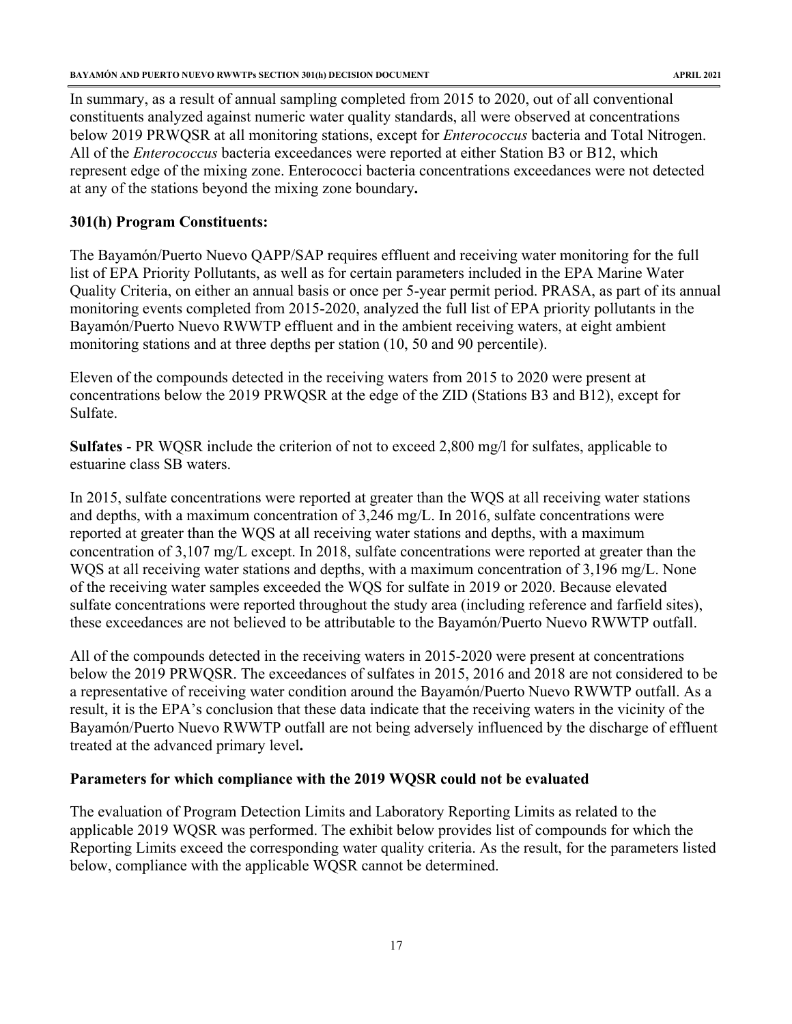In summary, as a result of annual sampling completed from 2015 to 2020, out of all conventional constituents analyzed against numeric water quality standards, all were observed at concentrations below 2019 PRWQSR at all monitoring stations, except for *Enterococcus* bacteria and Total Nitrogen. All of the *Enterococcus* bacteria exceedances were reported at either Station B3 or B12, which represent edge of the mixing zone. Enterococci bacteria concentrations exceedances were not detected at any of the stations beyond the mixing zone boundary**.**

### **301(h) Program Constituents:**

The Bayamón/Puerto Nuevo QAPP/SAP requires effluent and receiving water monitoring for the full list of EPA Priority Pollutants, as well as for certain parameters included in the EPA Marine Water Quality Criteria, on either an annual basis or once per 5-year permit period. PRASA, as part of its annual monitoring events completed from 2015-2020, analyzed the full list of EPA priority pollutants in the Bayamón/Puerto Nuevo RWWTP effluent and in the ambient receiving waters, at eight ambient monitoring stations and at three depths per station (10, 50 and 90 percentile).

Eleven of the compounds detected in the receiving waters from 2015 to 2020 were present at concentrations below the 2019 PRWQSR at the edge of the ZID (Stations B3 and B12), except for Sulfate.

**Sulfates** - PR WQSR include the criterion of not to exceed 2,800 mg/l for sulfates, applicable to estuarine class SB waters.

In 2015, sulfate concentrations were reported at greater than the WQS at all receiving water stations and depths, with a maximum concentration of 3,246 mg/L. In 2016, sulfate concentrations were reported at greater than the WQS at all receiving water stations and depths, with a maximum concentration of 3,107 mg/L except. In 2018, sulfate concentrations were reported at greater than the WQS at all receiving water stations and depths, with a maximum concentration of 3,196 mg/L. None of the receiving water samples exceeded the WQS for sulfate in 2019 or 2020. Because elevated sulfate concentrations were reported throughout the study area (including reference and farfield sites), these exceedances are not believed to be attributable to the Bayamón/Puerto Nuevo RWWTP outfall.

All of the compounds detected in the receiving waters in 2015-2020 were present at concentrations below the 2019 PRWQSR. The exceedances of sulfates in 2015, 2016 and 2018 are not considered to be a representative of receiving water condition around the Bayamón/Puerto Nuevo RWWTP outfall. As a result, it is the EPA's conclusion that these data indicate that the receiving waters in the vicinity of the Bayamón/Puerto Nuevo RWWTP outfall are not being adversely influenced by the discharge of effluent treated at the advanced primary level**.**

#### **Parameters for which compliance with the 2019 WQSR could not be evaluated**

The evaluation of Program Detection Limits and Laboratory Reporting Limits as related to the applicable 2019 WQSR was performed. The exhibit below provides list of compounds for which the Reporting Limits exceed the corresponding water quality criteria. As the result, for the parameters listed below, compliance with the applicable WQSR cannot be determined.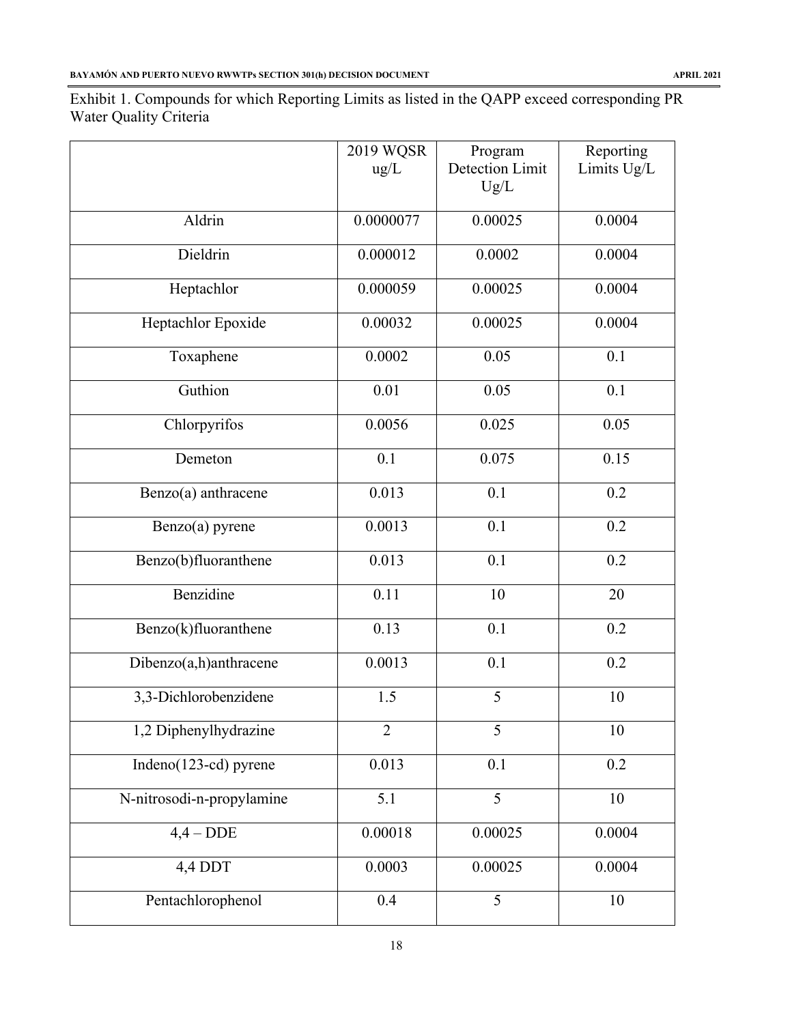Exhibit 1. Compounds for which Reporting Limits as listed in the QAPP exceed corresponding PR Water Quality Criteria

|                           | 2019 WQSR      | Program                | Reporting   |
|---------------------------|----------------|------------------------|-------------|
|                           | ug/L           | <b>Detection Limit</b> | Limits Ug/L |
|                           |                | Ug/L                   |             |
| Aldrin                    | 0.0000077      | 0.00025                | 0.0004      |
| Dieldrin                  | 0.000012       | 0.0002                 | 0.0004      |
| Heptachlor                | 0.000059       | 0.00025                | 0.0004      |
| Heptachlor Epoxide        | 0.00032        | 0.00025                | 0.0004      |
| Toxaphene                 | 0.0002         | 0.05                   | 0.1         |
| Guthion                   | 0.01           | 0.05                   | 0.1         |
| Chlorpyrifos              | 0.0056         | 0.025                  | 0.05        |
| Demeton                   | 0.1            | 0.075                  | 0.15        |
| Benzo(a) anthracene       | 0.013          | 0.1                    | 0.2         |
| Benzo(a) pyrene           | 0.0013         | 0.1                    | 0.2         |
| Benzo(b)fluoranthene      | 0.013          | 0.1                    | 0.2         |
| Benzidine                 | 0.11           | 10                     | 20          |
| Benzo(k)fluoranthene      | 0.13           | 0.1                    | 0.2         |
| Dibenzo(a,h)anthracene    | 0.0013         | 0.1                    | 0.2         |
| 3,3-Dichlorobenzidene     | 1.5            | 5                      | 10          |
| 1,2 Diphenylhydrazine     | $\overline{2}$ | 5                      | 10          |
| Indeno(123-cd) pyrene     | 0.013          | 0.1                    | 0.2         |
| N-nitrosodi-n-propylamine | 5.1            | 5                      | 10          |
| $4,4-DDE$                 | 0.00018        | 0.00025                | 0.0004      |
| 4,4 DDT                   | 0.0003         | 0.00025                | 0.0004      |
| Pentachlorophenol         | 0.4            | $\overline{5}$         | 10          |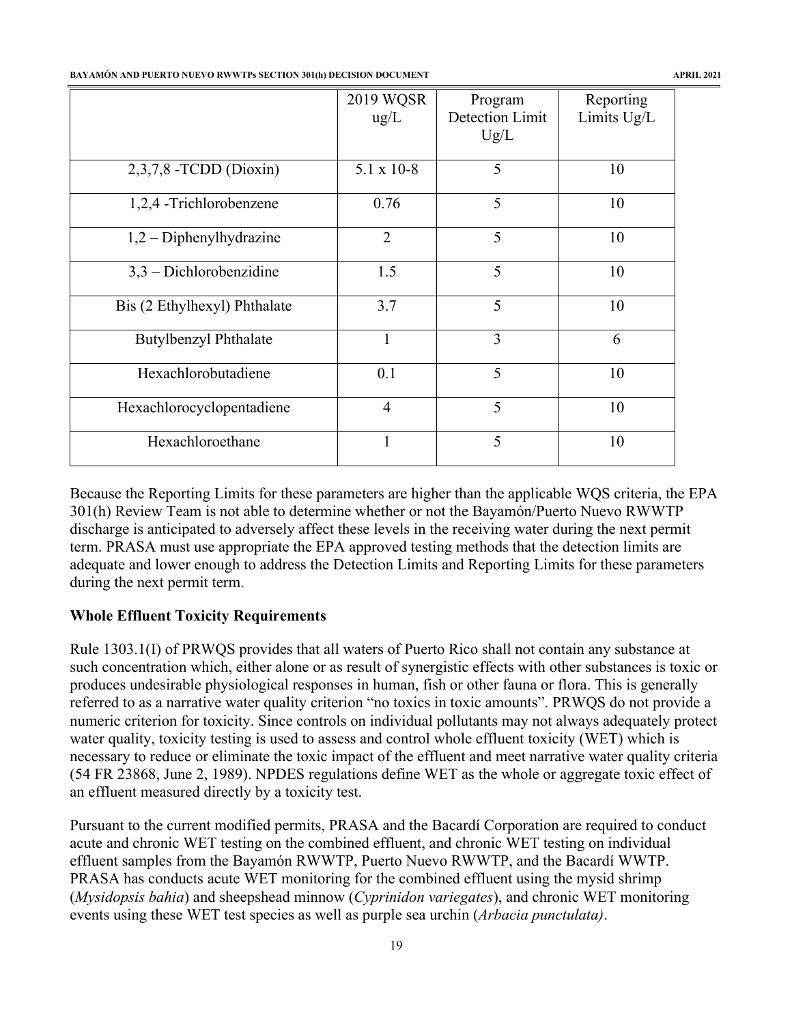#### **BAYAMÓN AND PUERTO NUEVO RWWTPs SECTION 301(h) DECISION DOCUMENT APRIL 2021**

|                              | 2019 WQSR<br>$\text{ug/L}$ | Program<br>Detection Limit<br>Ug/L | Reporting<br>Limits Ug/L |
|------------------------------|----------------------------|------------------------------------|--------------------------|
| 2,3,7,8 - TCDD (Dioxin)      | $5.1 \times 10-8$          | 5                                  | 10                       |
| 1,2,4 -Trichlorobenzene      | 0.76                       | 5                                  | 10                       |
| $1,2$ – Diphenylhydrazine    | $\overline{2}$             | 5                                  | 10                       |
| $3,3$ – Dichlorobenzidine    | 1.5                        | 5                                  | 10                       |
| Bis (2 Ethylhexyl) Phthalate | 3.7                        | 5                                  | 10                       |
| <b>Butylbenzyl Phthalate</b> | 1                          | 3                                  | 6                        |
| Hexachlorobutadiene          | 0.1                        | 5                                  | 10                       |
| Hexachlorocyclopentadiene    | $\overline{4}$             | 5                                  | 10                       |
| Hexachloroethane             | 1                          | 5                                  | 10                       |

Because the Reporting Limits for these parameters are higher than the applicable WQS criteria, the EPA 301(h) Review Team is not able to determine whether or not the Bayamón/Puerto Nuevo RWWTP discharge is anticipated to adversely affect these levels in the receiving water during the next permit term. PRASA must use appropriate the EPA approved testing methods that the detection limits are adequate and lower enough to address the Detection Limits and Reporting Limits for these parameters during the next permit term.

# **Whole Effluent Toxicity Requirements**

Rule 1303.1(I) of PRWQS provides that all waters of Puerto Rico shall not contain any substance at such concentration which, either alone or as result of synergistic effects with other substances is toxic or produces undesirable physiological responses in human, fish or other fauna or flora. This is generally referred to as a narrative water quality criterion "no toxics in toxic amounts". PRWQS do not provide a numeric criterion for toxicity. Since controls on individual pollutants may not always adequately protect water quality, toxicity testing is used to assess and control whole effluent toxicity (WET) which is necessary to reduce or eliminate the toxic impact of the effluent and meet narrative water quality criteria (54 FR 23868, June 2, 1989). NPDES regulations define WET as the whole or aggregate toxic effect of an effluent measured directly by a toxicity test.

Pursuant to the current modified permits, PRASA and the Bacardí Corporation are required to conduct acute and chronic WET testing on the combined effluent, and chronic WET testing on individual effluent samples from the Bayamón RWWTP, Puerto Nuevo RWWTP, and the Bacardí WWTP. PRASA has conducts acute WET monitoring for the combined effluent using the mysid shrimp (*Mysidopsis bahia*) and sheepshead minnow (*Cyprinidon variegates*), and chronic WET monitoring events using these WET test species as well as purple sea urchin (*Arbacia punctulata)*.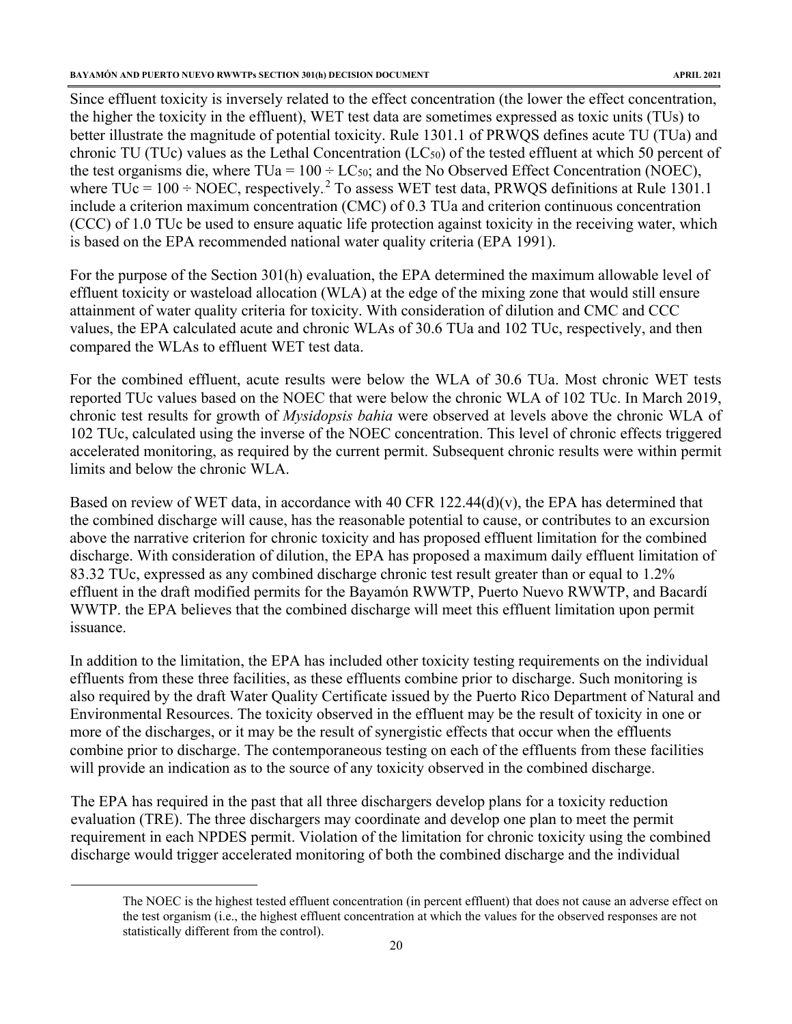Since effluent toxicity is inversely related to the effect concentration (the lower the effect concentration, the higher the toxicity in the effluent), WET test data are sometimes expressed as toxic units (TUs) to better illustrate the magnitude of potential toxicity. Rule 1301.1 of PRWQS defines acute TU (TUa) and chronic TU (TUc) values as the Lethal Concentration ( $LC_{50}$ ) of the tested effluent at which 50 percent of the test organisms die, where  $TUa = 100 \div LC_{50}$ ; and the No Observed Effect Concentration (NOEC), where TUc =  $100 \div \text{NOEC}$ , respectively.<sup>2</sup> To assess WET test data, PRWQS definitions at Rule 1301.1 include a criterion maximum concentration (CMC) of 0.3 TUa and criterion continuous concentration (CCC) of 1.0 TUc be used to ensure aquatic life protection against toxicity in the receiving water, which is based on the EPA recommended national water quality criteria (EPA 1991).

For the purpose of the Section 301(h) evaluation, the EPA determined the maximum allowable level of effluent toxicity or wasteload allocation (WLA) at the edge of the mixing zone that would still ensure attainment of water quality criteria for toxicity. With consideration of dilution and CMC and CCC values, the EPA calculated acute and chronic WLAs of 30.6 TUa and 102 TUc, respectively, and then compared the WLAs to effluent WET test data.

For the combined effluent, acute results were below the WLA of 30.6 TUa. Most chronic WET tests reported TUc values based on the NOEC that were below the chronic WLA of 102 TUc. In March 2019, chronic test results for growth of *Mysidopsis bahia* were observed at levels above the chronic WLA of 102 TUc, calculated using the inverse of the NOEC concentration. This level of chronic effects triggered accelerated monitoring, as required by the current permit. Subsequent chronic results were within permit limits and below the chronic WLA.

Based on review of WET data, in accordance with 40 CFR 122.44(d)(v), the EPA has determined that the combined discharge will cause, has the reasonable potential to cause, or contributes to an excursion above the narrative criterion for chronic toxicity and has proposed effluent limitation for the combined discharge. With consideration of dilution, the EPA has proposed a maximum daily effluent limitation of 83.32 TUc, expressed as any combined discharge chronic test result greater than or equal to 1.2% effluent in the draft modified permits for the Bayamón RWWTP, Puerto Nuevo RWWTP, and Bacardí WWTP. the EPA believes that the combined discharge will meet this effluent limitation upon permit issuance.

In addition to the limitation, the EPA has included other toxicity testing requirements on the individual effluents from these three facilities, as these effluents combine prior to discharge. Such monitoring is also required by the draft Water Quality Certificate issued by the Puerto Rico Department of Natural and Environmental Resources. The toxicity observed in the effluent may be the result of toxicity in one or more of the discharges, or it may be the result of synergistic effects that occur when the effluents combine prior to discharge. The contemporaneous testing on each of the effluents from these facilities will provide an indication as to the source of any toxicity observed in the combined discharge.

The EPA has required in the past that all three dischargers develop plans for a toxicity reduction evaluation (TRE). The three dischargers may coordinate and develop one plan to meet the permit requirement in each NPDES permit. Violation of the limitation for chronic toxicity using the combined discharge would trigger accelerated monitoring of both the combined discharge and the individual

The NOEC is the highest tested effluent concentration (in percent effluent) that does not cause an adverse effect on the test organism (i.e., the highest effluent concentration at which the values for the observed responses are not statistically different from the control).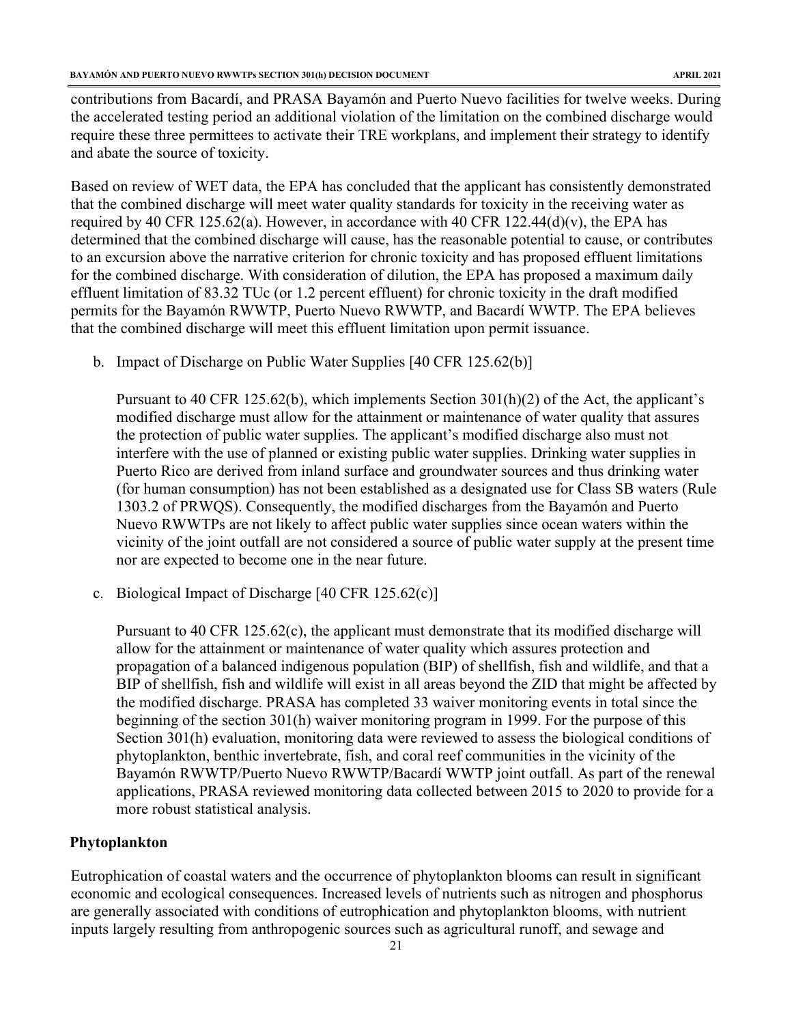contributions from Bacardí, and PRASA Bayamón and Puerto Nuevo facilities for twelve weeks. During the accelerated testing period an additional violation of the limitation on the combined discharge would require these three permittees to activate their TRE workplans, and implement their strategy to identify and abate the source of toxicity.

Based on review of WET data, the EPA has concluded that the applicant has consistently demonstrated that the combined discharge will meet water quality standards for toxicity in the receiving water as required by 40 CFR 125.62(a). However, in accordance with 40 CFR 122.44(d)(v), the EPA has determined that the combined discharge will cause, has the reasonable potential to cause, or contributes to an excursion above the narrative criterion for chronic toxicity and has proposed effluent limitations for the combined discharge. With consideration of dilution, the EPA has proposed a maximum daily effluent limitation of 83.32 TUc (or 1.2 percent effluent) for chronic toxicity in the draft modified permits for the Bayamón RWWTP, Puerto Nuevo RWWTP, and Bacardí WWTP. The EPA believes that the combined discharge will meet this effluent limitation upon permit issuance.

b. Impact of Discharge on Public Water Supplies [40 CFR 125.62(b)]

Pursuant to 40 CFR 125.62(b), which implements Section 301(h)(2) of the Act, the applicant's modified discharge must allow for the attainment or maintenance of water quality that assures the protection of public water supplies. The applicant's modified discharge also must not interfere with the use of planned or existing public water supplies. Drinking water supplies in Puerto Rico are derived from inland surface and groundwater sources and thus drinking water (for human consumption) has not been established as a designated use for Class SB waters (Rule 1303.2 of PRWQS). Consequently, the modified discharges from the Bayamón and Puerto Nuevo RWWTPs are not likely to affect public water supplies since ocean waters within the vicinity of the joint outfall are not considered a source of public water supply at the present time nor are expected to become one in the near future.

c. Biological Impact of Discharge [40 CFR 125.62(c)]

Pursuant to 40 CFR 125.62(c), the applicant must demonstrate that its modified discharge will allow for the attainment or maintenance of water quality which assures protection and propagation of a balanced indigenous population (BIP) of shellfish, fish and wildlife, and that a BIP of shellfish, fish and wildlife will exist in all areas beyond the ZID that might be affected by the modified discharge. PRASA has completed 33 waiver monitoring events in total since the beginning of the section 301(h) waiver monitoring program in 1999. For the purpose of this Section 301(h) evaluation, monitoring data were reviewed to assess the biological conditions of phytoplankton, benthic invertebrate, fish, and coral reef communities in the vicinity of the Bayamón RWWTP/Puerto Nuevo RWWTP/Bacardí WWTP joint outfall. As part of the renewal applications, PRASA reviewed monitoring data collected between 2015 to 2020 to provide for a more robust statistical analysis.

#### **Phytoplankton**

Eutrophication of coastal waters and the occurrence of phytoplankton blooms can result in significant economic and ecological consequences. Increased levels of nutrients such as nitrogen and phosphorus are generally associated with conditions of eutrophication and phytoplankton blooms, with nutrient inputs largely resulting from anthropogenic sources such as agricultural runoff, and sewage and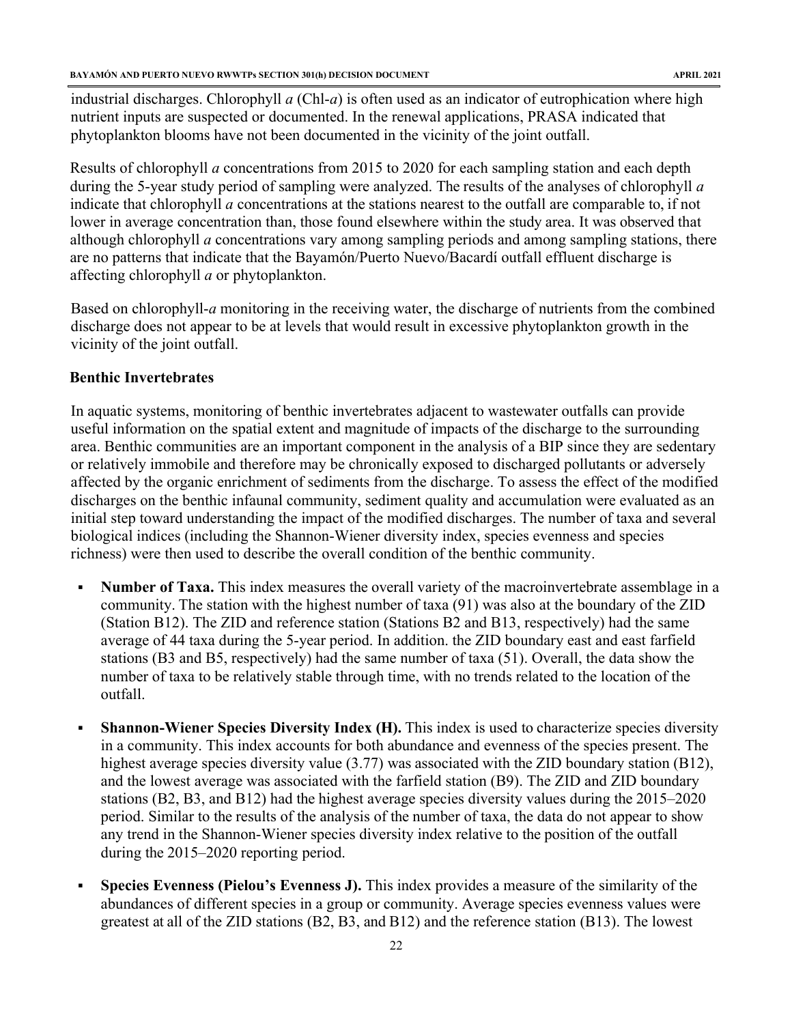industrial discharges. Chlorophyll *a* (Chl-*a*) is often used as an indicator of eutrophication where high nutrient inputs are suspected or documented. In the renewal applications, PRASA indicated that phytoplankton blooms have not been documented in the vicinity of the joint outfall.

Results of chlorophyll *a* concentrations from 2015 to 2020 for each sampling station and each depth during the 5-year study period of sampling were analyzed. The results of the analyses of chlorophyll *a*  indicate that chlorophyll *a* concentrations at the stations nearest to the outfall are comparable to, if not lower in average concentration than, those found elsewhere within the study area. It was observed that although chlorophyll *a* concentrations vary among sampling periods and among sampling stations, there are no patterns that indicate that the Bayamón/Puerto Nuevo/Bacardí outfall effluent discharge is affecting chlorophyll *a* or phytoplankton.

Based on chlorophyll-*a* monitoring in the receiving water, the discharge of nutrients from the combined discharge does not appear to be at levels that would result in excessive phytoplankton growth in the vicinity of the joint outfall.

#### **Benthic Invertebrates**

In aquatic systems, monitoring of benthic invertebrates adjacent to wastewater outfalls can provide useful information on the spatial extent and magnitude of impacts of the discharge to the surrounding area. Benthic communities are an important component in the analysis of a BIP since they are sedentary or relatively immobile and therefore may be chronically exposed to discharged pollutants or adversely affected by the organic enrichment of sediments from the discharge. To assess the effect of the modified discharges on the benthic infaunal community, sediment quality and accumulation were evaluated as an initial step toward understanding the impact of the modified discharges. The number of taxa and several biological indices (including the Shannon-Wiener diversity index, species evenness and species richness) were then used to describe the overall condition of the benthic community.

- **Number of Taxa.** This index measures the overall variety of the macroinvertebrate assemblage in a community. The station with the highest number of taxa (91) was also at the boundary of the ZID (Station B12). The ZID and reference station (Stations B2 and B13, respectively) had the same average of 44 taxa during the 5-year period. In addition. the ZID boundary east and east farfield stations (B3 and B5, respectively) had the same number of taxa (51). Overall, the data show the number of taxa to be relatively stable through time, with no trends related to the location of the outfall.
- **Shannon-Wiener Species Diversity Index (H).** This index is used to characterize species diversity in a community. This index accounts for both abundance and evenness of the species present. The highest average species diversity value (3.77) was associated with the ZID boundary station (B12), and the lowest average was associated with the farfield station (B9). The ZID and ZID boundary stations (B2, B3, and B12) had the highest average species diversity values during the 2015–2020 period. Similar to the results of the analysis of the number of taxa, the data do not appear to show any trend in the Shannon-Wiener species diversity index relative to the position of the outfall during the 2015–2020 reporting period.
- **Species Evenness (Pielou's Evenness J).** This index provides a measure of the similarity of the abundances of different species in a group or community. Average species evenness values were greatest at all of the ZID stations (B2, B3, and B12) and the reference station (B13). The lowest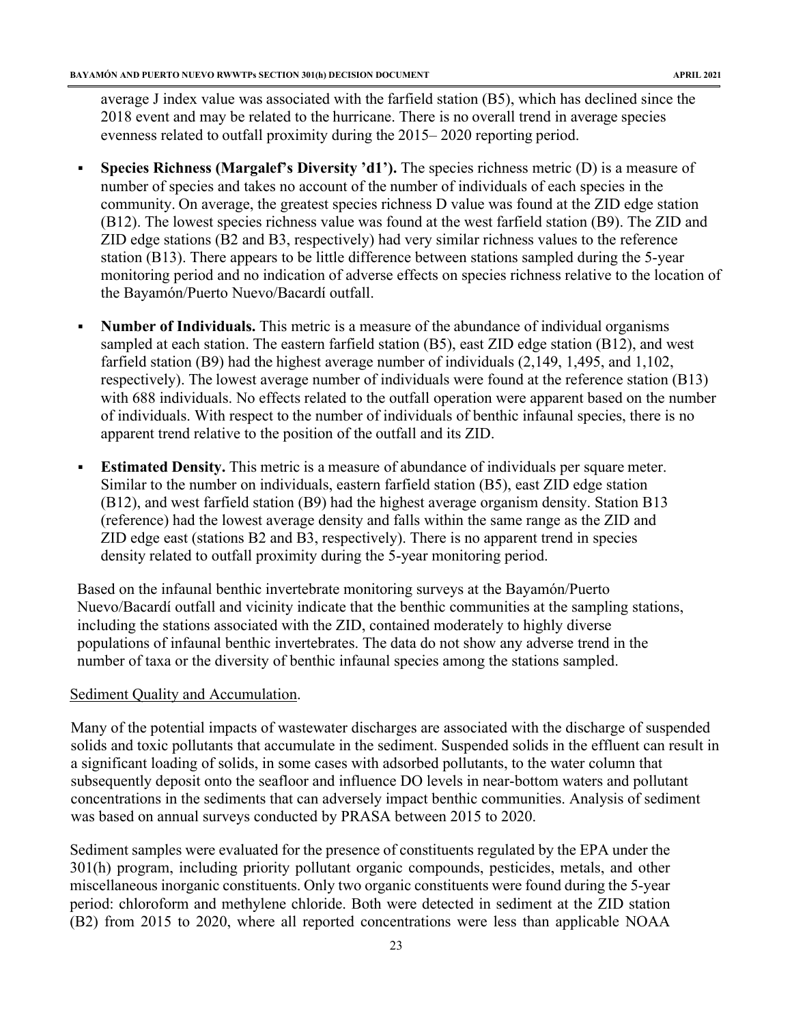average J index value was associated with the farfield station (B5), which has declined since the 2018 event and may be related to the hurricane. There is no overall trend in average species evenness related to outfall proximity during the 2015– 2020 reporting period.

- **Species Richness (Margalef's Diversity 'd1').** The species richness metric (D) is a measure of number of species and takes no account of the number of individuals of each species in the community. On average, the greatest species richness D value was found at the ZID edge station (B12). The lowest species richness value was found at the west farfield station (B9). The ZID and ZID edge stations (B2 and B3, respectively) had very similar richness values to the reference station (B13). There appears to be little difference between stations sampled during the 5-year monitoring period and no indication of adverse effects on species richness relative to the location of the Bayamón/Puerto Nuevo/Bacardí outfall.
- **Number of Individuals.** This metric is a measure of the abundance of individual organisms sampled at each station. The eastern farfield station (B5), east ZID edge station (B12), and west farfield station (B9) had the highest average number of individuals (2,149, 1,495, and 1,102, respectively). The lowest average number of individuals were found at the reference station (B13) with 688 individuals. No effects related to the outfall operation were apparent based on the number of individuals. With respect to the number of individuals of benthic infaunal species, there is no apparent trend relative to the position of the outfall and its ZID.
- **Estimated Density.** This metric is a measure of abundance of individuals per square meter. Similar to the number on individuals, eastern farfield station (B5), east ZID edge station (B12), and west farfield station (B9) had the highest average organism density. Station B13 (reference) had the lowest average density and falls within the same range as the ZID and ZID edge east (stations B2 and B3, respectively). There is no apparent trend in species density related to outfall proximity during the 5-year monitoring period.

Based on the infaunal benthic invertebrate monitoring surveys at the Bayamón/Puerto Nuevo/Bacardí outfall and vicinity indicate that the benthic communities at the sampling stations, including the stations associated with the ZID, contained moderately to highly diverse populations of infaunal benthic invertebrates. The data do not show any adverse trend in the number of taxa or the diversity of benthic infaunal species among the stations sampled.

#### Sediment Quality and Accumulation.

Many of the potential impacts of wastewater discharges are associated with the discharge of suspended solids and toxic pollutants that accumulate in the sediment. Suspended solids in the effluent can result in a significant loading of solids, in some cases with adsorbed pollutants, to the water column that subsequently deposit onto the seafloor and influence DO levels in near-bottom waters and pollutant concentrations in the sediments that can adversely impact benthic communities. Analysis of sediment was based on annual surveys conducted by PRASA between 2015 to 2020.

Sediment samples were evaluated for the presence of constituents regulated by the EPA under the 301(h) program, including priority pollutant organic compounds, pesticides, metals, and other miscellaneous inorganic constituents. Only two organic constituents were found during the 5-year period: chloroform and methylene chloride. Both were detected in sediment at the ZID station (B2) from 2015 to 2020, where all reported concentrations were less than applicable NOAA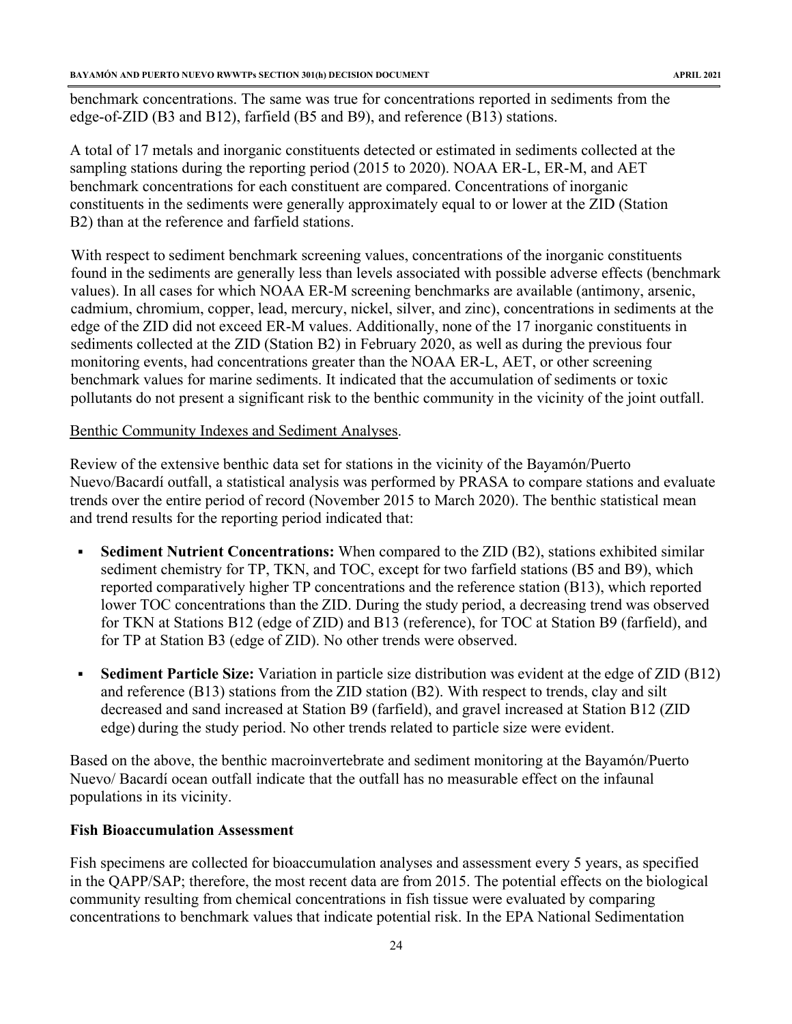benchmark concentrations. The same was true for concentrations reported in sediments from the edge-of-ZID (B3 and B12), farfield (B5 and B9), and reference (B13) stations.

A total of 17 metals and inorganic constituents detected or estimated in sediments collected at the sampling stations during the reporting period (2015 to 2020). NOAA ER-L, ER-M, and AET benchmark concentrations for each constituent are compared. Concentrations of inorganic constituents in the sediments were generally approximately equal to or lower at the ZID (Station B2) than at the reference and farfield stations.

With respect to sediment benchmark screening values, concentrations of the inorganic constituents found in the sediments are generally less than levels associated with possible adverse effects (benchmark values). In all cases for which NOAA ER-M screening benchmarks are available (antimony, arsenic, cadmium, chromium, copper, lead, mercury, nickel, silver, and zinc), concentrations in sediments at the edge of the ZID did not exceed ER-M values. Additionally, none of the 17 inorganic constituents in sediments collected at the ZID (Station B2) in February 2020, as well as during the previous four monitoring events, had concentrations greater than the NOAA ER-L, AET, or other screening benchmark values for marine sediments. It indicated that the accumulation of sediments or toxic pollutants do not present a significant risk to the benthic community in the vicinity of the joint outfall.

#### Benthic Community Indexes and Sediment Analyses.

Review of the extensive benthic data set for stations in the vicinity of the Bayamón/Puerto Nuevo/Bacardí outfall, a statistical analysis was performed by PRASA to compare stations and evaluate trends over the entire period of record (November 2015 to March 2020). The benthic statistical mean and trend results for the reporting period indicated that:

- **Sediment Nutrient Concentrations:** When compared to the ZID (B2), stations exhibited similar sediment chemistry for TP, TKN, and TOC, except for two farfield stations (B5 and B9), which reported comparatively higher TP concentrations and the reference station (B13), which reported lower TOC concentrations than the ZID. During the study period, a decreasing trend was observed for TKN at Stations B12 (edge of ZID) and B13 (reference), for TOC at Station B9 (farfield), and for TP at Station B3 (edge of ZID). No other trends were observed.
- **Sediment Particle Size:** Variation in particle size distribution was evident at the edge of ZID (B12) and reference (B13) stations from the ZID station (B2). With respect to trends, clay and silt decreased and sand increased at Station B9 (farfield), and gravel increased at Station B12 (ZID edge) during the study period. No other trends related to particle size were evident.

Based on the above, the benthic macroinvertebrate and sediment monitoring at the Bayamón/Puerto Nuevo/ Bacardí ocean outfall indicate that the outfall has no measurable effect on the infaunal populations in its vicinity.

#### **Fish Bioaccumulation Assessment**

Fish specimens are collected for bioaccumulation analyses and assessment every 5 years, as specified in the QAPP/SAP; therefore, the most recent data are from 2015. The potential effects on the biological community resulting from chemical concentrations in fish tissue were evaluated by comparing concentrations to benchmark values that indicate potential risk. In the EPA National Sedimentation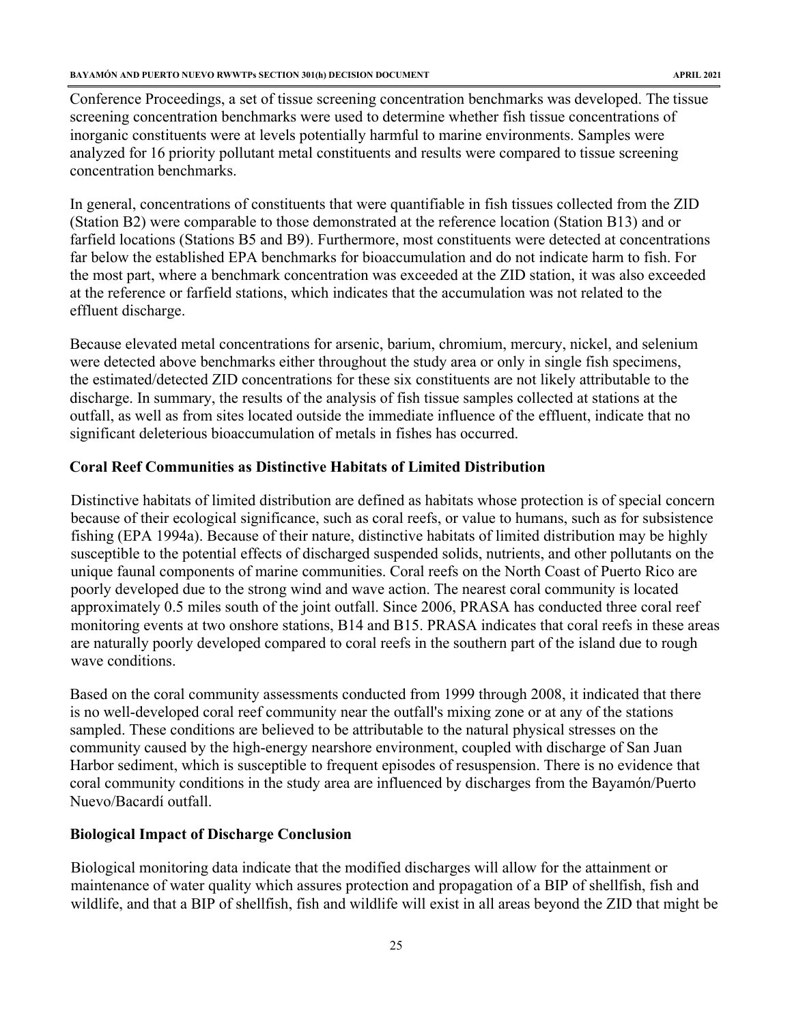Conference Proceedings, a set of tissue screening concentration benchmarks was developed. The tissue screening concentration benchmarks were used to determine whether fish tissue concentrations of inorganic constituents were at levels potentially harmful to marine environments. Samples were analyzed for 16 priority pollutant metal constituents and results were compared to tissue screening concentration benchmarks.

In general, concentrations of constituents that were quantifiable in fish tissues collected from the ZID (Station B2) were comparable to those demonstrated at the reference location (Station B13) and or farfield locations (Stations B5 and B9). Furthermore, most constituents were detected at concentrations far below the established EPA benchmarks for bioaccumulation and do not indicate harm to fish. For the most part, where a benchmark concentration was exceeded at the ZID station, it was also exceeded at the reference or farfield stations, which indicates that the accumulation was not related to the effluent discharge.

Because elevated metal concentrations for arsenic, barium, chromium, mercury, nickel, and selenium were detected above benchmarks either throughout the study area or only in single fish specimens, the estimated/detected ZID concentrations for these six constituents are not likely attributable to the discharge. In summary, the results of the analysis of fish tissue samples collected at stations at the outfall, as well as from sites located outside the immediate influence of the effluent, indicate that no significant deleterious bioaccumulation of metals in fishes has occurred.

#### **Coral Reef Communities as Distinctive Habitats of Limited Distribution**

Distinctive habitats of limited distribution are defined as habitats whose protection is of special concern because of their ecological significance, such as coral reefs, or value to humans, such as for subsistence fishing (EPA 1994a). Because of their nature, distinctive habitats of limited distribution may be highly susceptible to the potential effects of discharged suspended solids, nutrients, and other pollutants on the unique faunal components of marine communities. Coral reefs on the North Coast of Puerto Rico are poorly developed due to the strong wind and wave action. The nearest coral community is located approximately 0.5 miles south of the joint outfall. Since 2006, PRASA has conducted three coral reef monitoring events at two onshore stations, B14 and B15. PRASA indicates that coral reefs in these areas are naturally poorly developed compared to coral reefs in the southern part of the island due to rough wave conditions.

Based on the coral community assessments conducted from 1999 through 2008, it indicated that there is no well-developed coral reef community near the outfall's mixing zone or at any of the stations sampled. These conditions are believed to be attributable to the natural physical stresses on the community caused by the high-energy nearshore environment, coupled with discharge of San Juan Harbor sediment, which is susceptible to frequent episodes of resuspension. There is no evidence that coral community conditions in the study area are influenced by discharges from the Bayamón/Puerto Nuevo/Bacardí outfall.

#### **Biological Impact of Discharge Conclusion**

Biological monitoring data indicate that the modified discharges will allow for the attainment or maintenance of water quality which assures protection and propagation of a BIP of shellfish, fish and wildlife, and that a BIP of shellfish, fish and wildlife will exist in all areas beyond the ZID that might be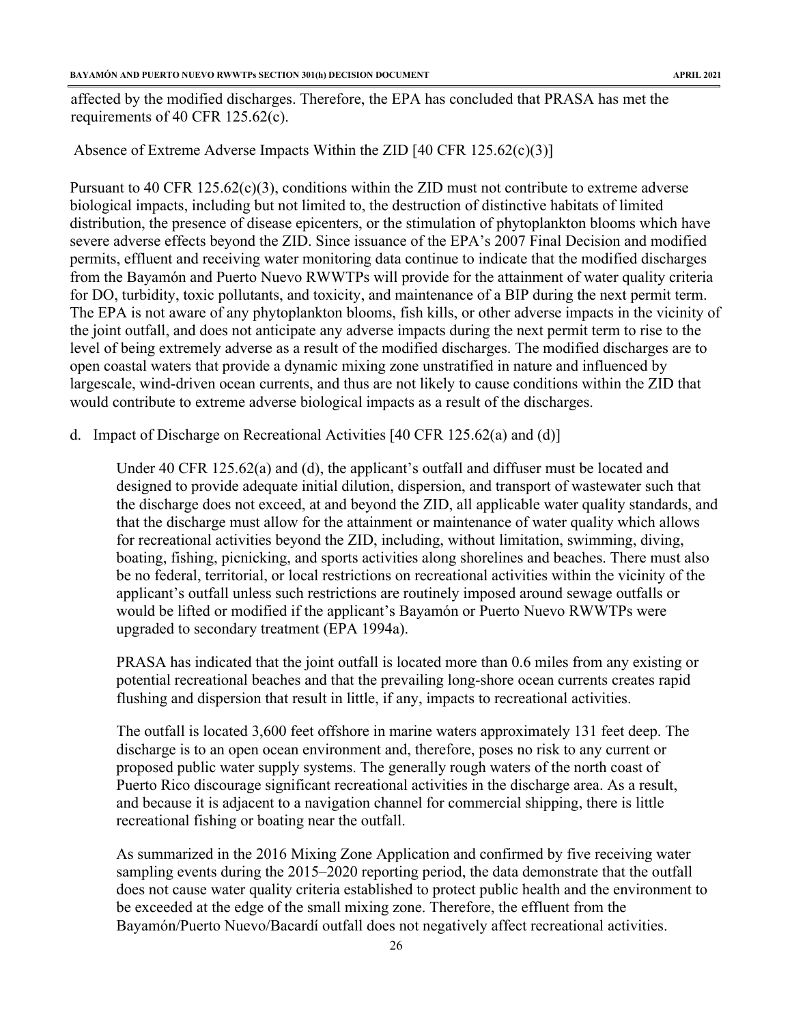affected by the modified discharges. Therefore, the EPA has concluded that PRASA has met the requirements of 40 CFR 125.62(c).

Absence of Extreme Adverse Impacts Within the ZID [40 CFR 125.62(c)(3)]

Pursuant to 40 CFR  $125.62(c)(3)$ , conditions within the ZID must not contribute to extreme adverse biological impacts, including but not limited to, the destruction of distinctive habitats of limited distribution, the presence of disease epicenters, or the stimulation of phytoplankton blooms which have severe adverse effects beyond the ZID. Since issuance of the EPA's 2007 Final Decision and modified permits, effluent and receiving water monitoring data continue to indicate that the modified discharges from the Bayamón and Puerto Nuevo RWWTPs will provide for the attainment of water quality criteria for DO, turbidity, toxic pollutants, and toxicity, and maintenance of a BIP during the next permit term. The EPA is not aware of any phytoplankton blooms, fish kills, or other adverse impacts in the vicinity of the joint outfall, and does not anticipate any adverse impacts during the next permit term to rise to the level of being extremely adverse as a result of the modified discharges. The modified discharges are to open coastal waters that provide a dynamic mixing zone unstratified in nature and influenced by largescale, wind-driven ocean currents, and thus are not likely to cause conditions within the ZID that would contribute to extreme adverse biological impacts as a result of the discharges.

d. Impact of Discharge on Recreational Activities [40 CFR 125.62(a) and (d)]

Under 40 CFR 125.62(a) and (d), the applicant's outfall and diffuser must be located and designed to provide adequate initial dilution, dispersion, and transport of wastewater such that the discharge does not exceed, at and beyond the ZID, all applicable water quality standards, and that the discharge must allow for the attainment or maintenance of water quality which allows for recreational activities beyond the ZID, including, without limitation, swimming, diving, boating, fishing, picnicking, and sports activities along shorelines and beaches. There must also be no federal, territorial, or local restrictions on recreational activities within the vicinity of the applicant's outfall unless such restrictions are routinely imposed around sewage outfalls or would be lifted or modified if the applicant's Bayamón or Puerto Nuevo RWWTPs were upgraded to secondary treatment (EPA 1994a).

PRASA has indicated that the joint outfall is located more than 0.6 miles from any existing or potential recreational beaches and that the prevailing long-shore ocean currents creates rapid flushing and dispersion that result in little, if any, impacts to recreational activities.

The outfall is located 3,600 feet offshore in marine waters approximately 131 feet deep. The discharge is to an open ocean environment and, therefore, poses no risk to any current or proposed public water supply systems. The generally rough waters of the north coast of Puerto Rico discourage significant recreational activities in the discharge area. As a result, and because it is adjacent to a navigation channel for commercial shipping, there is little recreational fishing or boating near the outfall.

As summarized in the 2016 Mixing Zone Application and confirmed by five receiving water sampling events during the 2015–2020 reporting period, the data demonstrate that the outfall does not cause water quality criteria established to protect public health and the environment to be exceeded at the edge of the small mixing zone. Therefore, the effluent from the Bayamón/Puerto Nuevo/Bacardí outfall does not negatively affect recreational activities.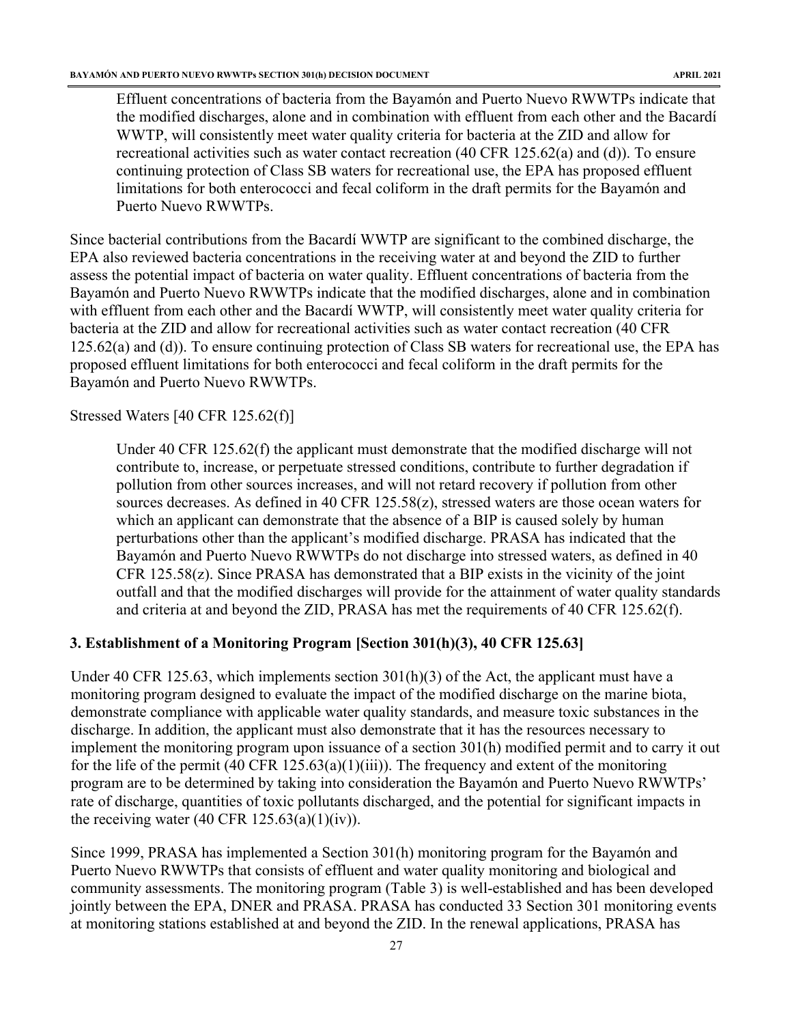Effluent concentrations of bacteria from the Bayamón and Puerto Nuevo RWWTPs indicate that the modified discharges, alone and in combination with effluent from each other and the Bacardí WWTP, will consistently meet water quality criteria for bacteria at the ZID and allow for recreational activities such as water contact recreation (40 CFR 125.62(a) and (d)). To ensure continuing protection of Class SB waters for recreational use, the EPA has proposed effluent limitations for both enterococci and fecal coliform in the draft permits for the Bayamón and Puerto Nuevo RWWTPs.

Since bacterial contributions from the Bacardí WWTP are significant to the combined discharge, the EPA also reviewed bacteria concentrations in the receiving water at and beyond the ZID to further assess the potential impact of bacteria on water quality. Effluent concentrations of bacteria from the Bayamón and Puerto Nuevo RWWTPs indicate that the modified discharges, alone and in combination with effluent from each other and the Bacardí WWTP, will consistently meet water quality criteria for bacteria at the ZID and allow for recreational activities such as water contact recreation (40 CFR 125.62(a) and (d)). To ensure continuing protection of Class SB waters for recreational use, the EPA has proposed effluent limitations for both enterococci and fecal coliform in the draft permits for the Bayamón and Puerto Nuevo RWWTPs.

#### Stressed Waters [40 CFR 125.62(f)]

Under 40 CFR 125.62(f) the applicant must demonstrate that the modified discharge will not contribute to, increase, or perpetuate stressed conditions, contribute to further degradation if pollution from other sources increases, and will not retard recovery if pollution from other sources decreases. As defined in 40 CFR 125.58(z), stressed waters are those ocean waters for which an applicant can demonstrate that the absence of a BIP is caused solely by human perturbations other than the applicant's modified discharge. PRASA has indicated that the Bayamón and Puerto Nuevo RWWTPs do not discharge into stressed waters, as defined in 40 CFR 125.58(z). Since PRASA has demonstrated that a BIP exists in the vicinity of the joint outfall and that the modified discharges will provide for the attainment of water quality standards and criteria at and beyond the ZID, PRASA has met the requirements of 40 CFR 125.62(f).

#### <span id="page-27-0"></span>**3. Establishment of a Monitoring Program [Section 301(h)(3), 40 CFR 125.63]**

Under 40 CFR 125.63, which implements section 301(h)(3) of the Act, the applicant must have a monitoring program designed to evaluate the impact of the modified discharge on the marine biota, demonstrate compliance with applicable water quality standards, and measure toxic substances in the discharge. In addition, the applicant must also demonstrate that it has the resources necessary to implement the monitoring program upon issuance of a section 301(h) modified permit and to carry it out for the life of the permit  $(40 \text{ CFR } 125.63(a)(1)(iii))$ . The frequency and extent of the monitoring program are to be determined by taking into consideration the Bayamón and Puerto Nuevo RWWTPs' rate of discharge, quantities of toxic pollutants discharged, and the potential for significant impacts in the receiving water  $(40 \text{ CFR } 125.63(a)(1)(iv))$ .

Since 1999, PRASA has implemented a Section 301(h) monitoring program for the Bayamón and Puerto Nuevo RWWTPs that consists of effluent and water quality monitoring and biological and community assessments. The monitoring program (Table 3) is well-established and has been developed jointly between the EPA, DNER and PRASA. PRASA has conducted 33 Section 301 monitoring events at monitoring stations established at and beyond the ZID. In the renewal applications, PRASA has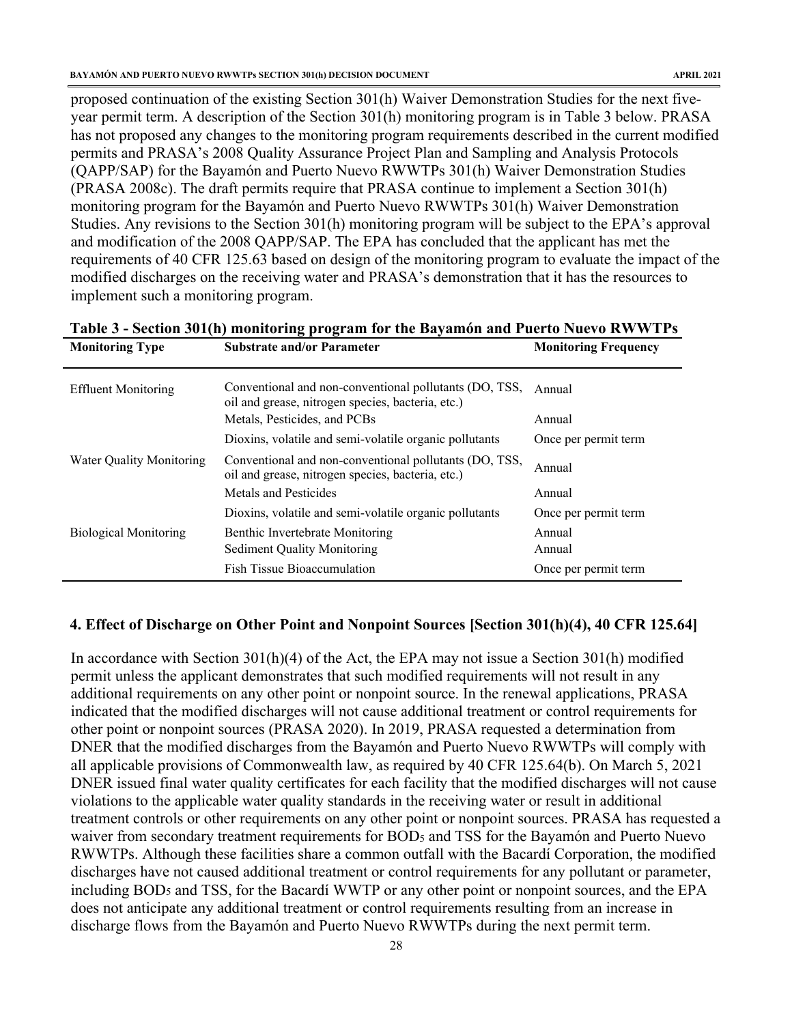proposed continuation of the existing Section 301(h) Waiver Demonstration Studies for the next fiveyear permit term. A description of the Section 301(h) monitoring program is in Table 3 below. PRASA has not proposed any changes to the monitoring program requirements described in the current modified permits and PRASA's 2008 Quality Assurance Project Plan and Sampling and Analysis Protocols (QAPP/SAP) for the Bayamón and Puerto Nuevo RWWTPs 301(h) Waiver Demonstration Studies (PRASA 2008c). The draft permits require that PRASA continue to implement a Section 301(h) monitoring program for the Bayamón and Puerto Nuevo RWWTPs 301(h) Waiver Demonstration Studies. Any revisions to the Section 301(h) monitoring program will be subject to the EPA's approval and modification of the 2008 QAPP/SAP. The EPA has concluded that the applicant has met the requirements of 40 CFR 125.63 based on design of the monitoring program to evaluate the impact of the modified discharges on the receiving water and PRASA's demonstration that it has the resources to implement such a monitoring program.

| Table of Section Corup informating program for the Dayamon and I acred Fuero Is of this<br><b>Monitoring Type</b> | <b>Monitoring Frequency</b>                                                                                 |                      |
|-------------------------------------------------------------------------------------------------------------------|-------------------------------------------------------------------------------------------------------------|----------------------|
|                                                                                                                   | <b>Substrate and/or Parameter</b>                                                                           |                      |
| <b>Effluent Monitoring</b>                                                                                        | Conventional and non-conventional pollutants (DO, TSS,<br>oil and grease, nitrogen species, bacteria, etc.) | Annual               |
|                                                                                                                   | Metals, Pesticides, and PCBs                                                                                | Annual               |
|                                                                                                                   | Dioxins, volatile and semi-volatile organic pollutants                                                      | Once per permit term |
| <b>Water Quality Monitoring</b>                                                                                   | Conventional and non-conventional pollutants (DO, TSS,<br>oil and grease, nitrogen species, bacteria, etc.) | Annual               |
|                                                                                                                   | Metals and Pesticides                                                                                       | Annual               |
|                                                                                                                   | Dioxins, volatile and semi-volatile organic pollutants                                                      | Once per permit term |
| <b>Biological Monitoring</b>                                                                                      | Benthic Invertebrate Monitoring                                                                             | Annual               |
|                                                                                                                   | <b>Sediment Quality Monitoring</b>                                                                          | Annual               |
|                                                                                                                   | <b>Fish Tissue Bioaccumulation</b>                                                                          | Once per permit term |

**Table 3 - Section 301(h) monitoring program for the Bayamón and Puerto Nuevo RWWTPs** 

#### <span id="page-28-0"></span>**4. Effect of Discharge on Other Point and Nonpoint Sources [Section 301(h)(4), 40 CFR 125.64]**

In accordance with Section 301(h)(4) of the Act, the EPA may not issue a Section 301(h) modified permit unless the applicant demonstrates that such modified requirements will not result in any additional requirements on any other point or nonpoint source. In the renewal applications, PRASA indicated that the modified discharges will not cause additional treatment or control requirements for other point or nonpoint sources (PRASA 2020). In 2019, PRASA requested a determination from DNER that the modified discharges from the Bayamón and Puerto Nuevo RWWTPs will comply with all applicable provisions of Commonwealth law, as required by 40 CFR 125.64(b). On March 5, 2021 DNER issued final water quality certificates for each facility that the modified discharges will not cause violations to the applicable water quality standards in the receiving water or result in additional treatment controls or other requirements on any other point or nonpoint sources. PRASA has requested a waiver from secondary treatment requirements for BOD<sub>5</sub> and TSS for the Bayamón and Puerto Nuevo RWWTPs. Although these facilities share a common outfall with the Bacardí Corporation, the modified discharges have not caused additional treatment or control requirements for any pollutant or parameter, including BOD<sub>5</sub> and TSS, for the Bacardí WWTP or any other point or nonpoint sources, and the EPA does not anticipate any additional treatment or control requirements resulting from an increase in discharge flows from the Bayamón and Puerto Nuevo RWWTPs during the next permit term.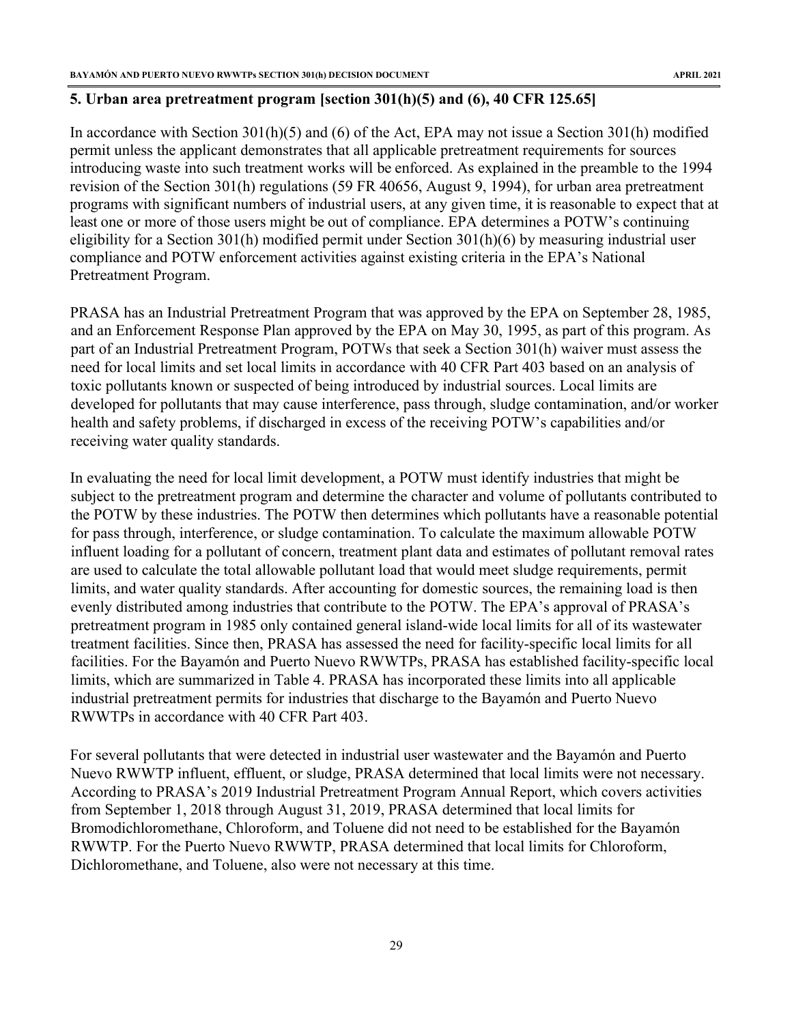# <span id="page-29-0"></span>**5. Urban area pretreatment program [section 301(h)(5) and (6), 40 CFR 125.65]**

In accordance with Section 301(h)(5) and (6) of the Act, EPA may not issue a Section 301(h) modified permit unless the applicant demonstrates that all applicable pretreatment requirements for sources introducing waste into such treatment works will be enforced. As explained in the preamble to the 1994 revision of the Section 301(h) regulations (59 FR 40656, August 9, 1994), for urban area pretreatment programs with significant numbers of industrial users, at any given time, it is reasonable to expect that at least one or more of those users might be out of compliance. EPA determines a POTW's continuing eligibility for a Section 301(h) modified permit under Section  $301(h)(6)$  by measuring industrial user compliance and POTW enforcement activities against existing criteria in the EPA's National Pretreatment Program.

PRASA has an Industrial Pretreatment Program that was approved by the EPA on September 28, 1985, and an Enforcement Response Plan approved by the EPA on May 30, 1995, as part of this program. As part of an Industrial Pretreatment Program, POTWs that seek a Section 301(h) waiver must assess the need for local limits and set local limits in accordance with 40 CFR Part 403 based on an analysis of toxic pollutants known or suspected of being introduced by industrial sources. Local limits are developed for pollutants that may cause interference, pass through, sludge contamination, and/or worker health and safety problems, if discharged in excess of the receiving POTW's capabilities and/or receiving water quality standards.

In evaluating the need for local limit development, a POTW must identify industries that might be subject to the pretreatment program and determine the character and volume of pollutants contributed to the POTW by these industries. The POTW then determines which pollutants have a reasonable potential for pass through, interference, or sludge contamination. To calculate the maximum allowable POTW influent loading for a pollutant of concern, treatment plant data and estimates of pollutant removal rates are used to calculate the total allowable pollutant load that would meet sludge requirements, permit limits, and water quality standards. After accounting for domestic sources, the remaining load is then evenly distributed among industries that contribute to the POTW. The EPA's approval of PRASA's pretreatment program in 1985 only contained general island-wide local limits for all of its wastewater treatment facilities. Since then, PRASA has assessed the need for facility-specific local limits for all facilities. For the Bayamón and Puerto Nuevo RWWTPs, PRASA has established facility-specific local limits, which are summarized in Table 4. PRASA has incorporated these limits into all applicable industrial pretreatment permits for industries that discharge to the Bayamón and Puerto Nuevo RWWTPs in accordance with 40 CFR Part 403.

For several pollutants that were detected in industrial user wastewater and the Bayamón and Puerto Nuevo RWWTP influent, effluent, or sludge, PRASA determined that local limits were not necessary. According to PRASA's 2019 Industrial Pretreatment Program Annual Report, which covers activities from September 1, 2018 through August 31, 2019, PRASA determined that local limits for Bromodichloromethane, Chloroform, and Toluene did not need to be established for the Bayamón RWWTP. For the Puerto Nuevo RWWTP, PRASA determined that local limits for Chloroform, Dichloromethane, and Toluene, also were not necessary at this time.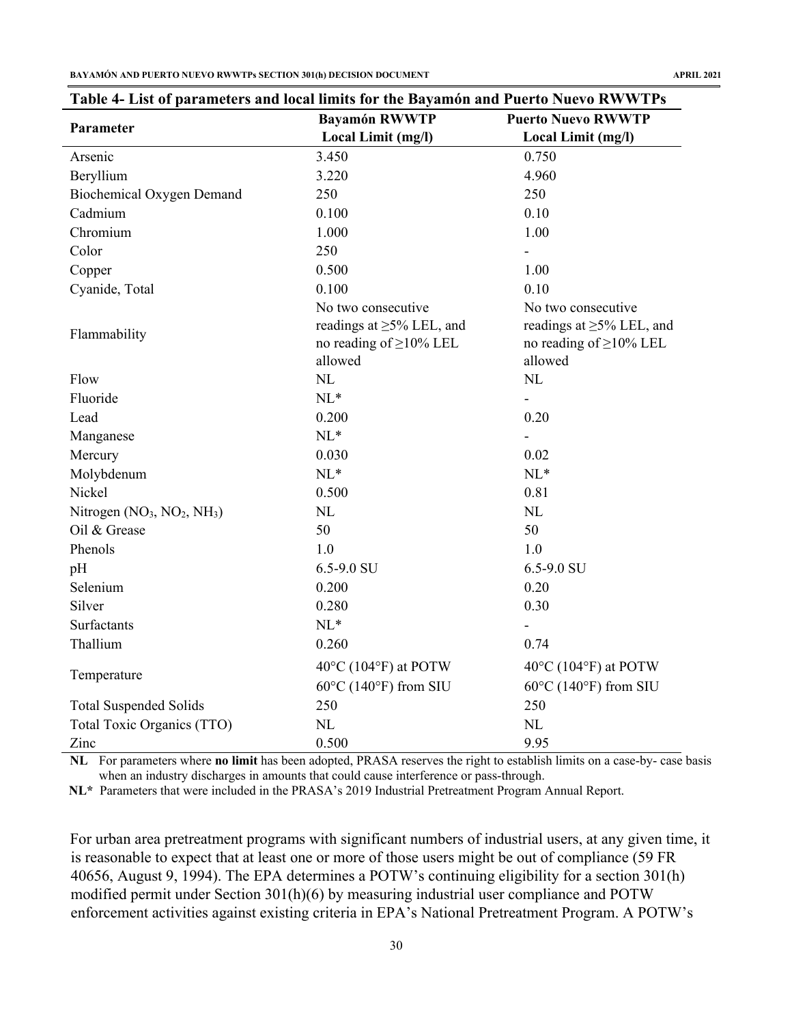**BAYAMÓN AND PUERTO NUEVO RWWTPs SECTION 301(h) DECISION DOCUMENT APRIL 2021**

| $\sim$                        | $\mathbf{a}$ minor for the $\mathbf{b}$ denotes the $\mathbf{a}$ denotes the $\mathbf{a}$ denotes $\mathbf{b}$<br><b>Bayamón RWWTP</b> | <b>Puerto Nuevo RWWTP</b><br>Local Limit (mg/l)                           |  |
|-------------------------------|----------------------------------------------------------------------------------------------------------------------------------------|---------------------------------------------------------------------------|--|
| Parameter                     | Local Limit (mg/l)                                                                                                                     |                                                                           |  |
| Arsenic                       | 3.450                                                                                                                                  | 0.750                                                                     |  |
| Beryllium                     | 3.220                                                                                                                                  | 4.960                                                                     |  |
| Biochemical Oxygen Demand     | 250                                                                                                                                    | 250                                                                       |  |
| Cadmium                       | 0.100                                                                                                                                  | 0.10                                                                      |  |
| Chromium                      | 1.000                                                                                                                                  | 1.00                                                                      |  |
| Color                         | 250                                                                                                                                    |                                                                           |  |
| Copper                        | 0.500                                                                                                                                  | 1.00                                                                      |  |
| Cyanide, Total                | 0.100                                                                                                                                  | 0.10                                                                      |  |
|                               | No two consecutive                                                                                                                     | No two consecutive                                                        |  |
| Flammability                  | readings at $\geq$ 5% LEL, and<br>no reading of $\geq$ 10% LEL<br>allowed                                                              | readings at $\geq$ 5% LEL, and<br>no reading of $\geq$ 10% LEL<br>allowed |  |
| Flow                          | $\rm NL$                                                                                                                               | NL                                                                        |  |
| Fluoride                      | $NL^*$                                                                                                                                 |                                                                           |  |
| Lead                          | 0.200                                                                                                                                  | 0.20                                                                      |  |
| Manganese                     | $NL^*$                                                                                                                                 | $\overline{\phantom{a}}$                                                  |  |
| Mercury                       | 0.030                                                                                                                                  | 0.02                                                                      |  |
| Molybdenum                    | $NL^*$                                                                                                                                 | $NL^*$                                                                    |  |
| Nickel                        | 0.500                                                                                                                                  | 0.81                                                                      |  |
| Nitrogen $(NO3, NO2, NH3)$    | NL                                                                                                                                     | NL                                                                        |  |
| Oil & Grease                  | 50                                                                                                                                     | 50                                                                        |  |
| Phenols                       | 1.0                                                                                                                                    | 1.0                                                                       |  |
| pH                            | 6.5-9.0 SU                                                                                                                             | 6.5-9.0 SU                                                                |  |
| Selenium                      | 0.200                                                                                                                                  | 0.20                                                                      |  |
| Silver                        | 0.280                                                                                                                                  | 0.30                                                                      |  |
| Surfactants                   | $NL^*$                                                                                                                                 |                                                                           |  |
| Thallium                      | 0.260                                                                                                                                  | 0.74                                                                      |  |
|                               | $40^{\circ}$ C (104 $^{\circ}$ F) at POTW                                                                                              | $40^{\circ}$ C (104 $^{\circ}$ F) at POTW                                 |  |
| Temperature                   | $60^{\circ}$ C (140°F) from SIU                                                                                                        | $60^{\circ}$ C (140°F) from SIU                                           |  |
| <b>Total Suspended Solids</b> | 250                                                                                                                                    | 250                                                                       |  |
| Total Toxic Organics (TTO)    | NL                                                                                                                                     | NL                                                                        |  |
| Zinc                          | 0.500                                                                                                                                  | 9.95                                                                      |  |

# **Table 4- List of parameters and local limits for the Bayamón and Puerto Nuevo RWWTPs**

**NL** For parameters where **no limit** has been adopted, PRASA reserves the right to establish limits on a case-by- case basis when an industry discharges in amounts that could cause interference or pass-through.

**NL\*** Parameters that were included in the PRASA's 2019 Industrial Pretreatment Program Annual Report.

For urban area pretreatment programs with significant numbers of industrial users, at any given time, it is reasonable to expect that at least one or more of those users might be out of compliance (59 FR 40656, August 9, 1994). The EPA determines a POTW's continuing eligibility for a section 301(h) modified permit under Section 301(h)(6) by measuring industrial user compliance and POTW enforcement activities against existing criteria in EPA's National Pretreatment Program. A POTW's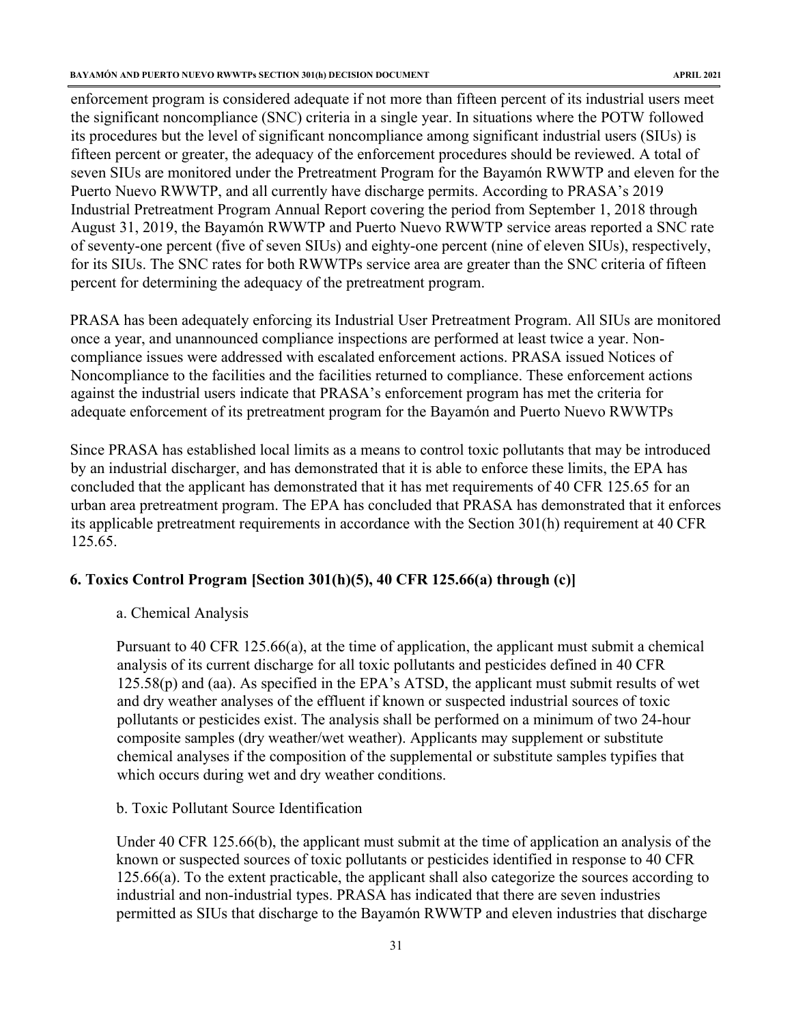enforcement program is considered adequate if not more than fifteen percent of its industrial users meet the significant noncompliance (SNC) criteria in a single year. In situations where the POTW followed its procedures but the level of significant noncompliance among significant industrial users (SIUs) is fifteen percent or greater, the adequacy of the enforcement procedures should be reviewed. A total of seven SIUs are monitored under the Pretreatment Program for the Bayamón RWWTP and eleven for the Puerto Nuevo RWWTP, and all currently have discharge permits. According to PRASA's 2019 Industrial Pretreatment Program Annual Report covering the period from September 1, 2018 through August 31, 2019, the Bayamón RWWTP and Puerto Nuevo RWWTP service areas reported a SNC rate of seventy-one percent (five of seven SIUs) and eighty-one percent (nine of eleven SIUs), respectively, for its SIUs. The SNC rates for both RWWTPs service area are greater than the SNC criteria of fifteen percent for determining the adequacy of the pretreatment program.

PRASA has been adequately enforcing its Industrial User Pretreatment Program. All SIUs are monitored once a year, and unannounced compliance inspections are performed at least twice a year. Noncompliance issues were addressed with escalated enforcement actions. PRASA issued Notices of Noncompliance to the facilities and the facilities returned to compliance. These enforcement actions against the industrial users indicate that PRASA's enforcement program has met the criteria for adequate enforcement of its pretreatment program for the Bayamón and Puerto Nuevo RWWTPs

Since PRASA has established local limits as a means to control toxic pollutants that may be introduced by an industrial discharger, and has demonstrated that it is able to enforce these limits, the EPA has concluded that the applicant has demonstrated that it has met requirements of 40 CFR 125.65 for an urban area pretreatment program. The EPA has concluded that PRASA has demonstrated that it enforces its applicable pretreatment requirements in accordance with the Section 301(h) requirement at 40 CFR 125.65.

#### <span id="page-31-0"></span>**6. Toxics Control Program [Section 301(h)(5), 40 CFR 125.66(a) through (c)]**

a. Chemical Analysis

Pursuant to 40 CFR 125.66(a), at the time of application, the applicant must submit a chemical analysis of its current discharge for all toxic pollutants and pesticides defined in 40 CFR  $125.58(p)$  and (aa). As specified in the EPA's ATSD, the applicant must submit results of wet and dry weather analyses of the effluent if known or suspected industrial sources of toxic pollutants or pesticides exist. The analysis shall be performed on a minimum of two 24-hour composite samples (dry weather/wet weather). Applicants may supplement or substitute chemical analyses if the composition of the supplemental or substitute samples typifies that which occurs during wet and dry weather conditions.

b. Toxic Pollutant Source Identification

Under 40 CFR 125.66(b), the applicant must submit at the time of application an analysis of the known or suspected sources of toxic pollutants or pesticides identified in response to 40 CFR 125.66(a). To the extent practicable, the applicant shall also categorize the sources according to industrial and non-industrial types. PRASA has indicated that there are seven industries permitted as SIUs that discharge to the Bayamón RWWTP and eleven industries that discharge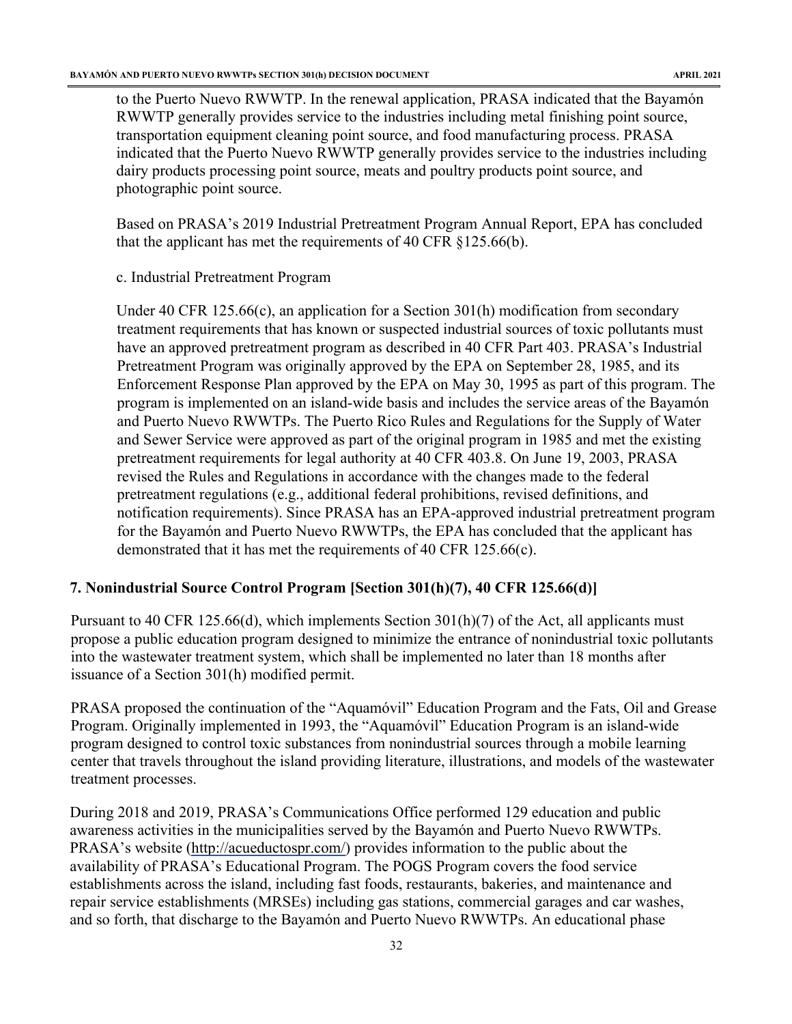to the Puerto Nuevo RWWTP. In the renewal application, PRASA indicated that the Bayamón RWWTP generally provides service to the industries including metal finishing point source, transportation equipment cleaning point source, and food manufacturing process. PRASA indicated that the Puerto Nuevo RWWTP generally provides service to the industries including dairy products processing point source, meats and poultry products point source, and photographic point source.

Based on PRASA's 2019 Industrial Pretreatment Program Annual Report, EPA has concluded that the applicant has met the requirements of 40 CFR §125.66(b).

c. Industrial Pretreatment Program

Under 40 CFR 125.66(c), an application for a Section 301(h) modification from secondary treatment requirements that has known or suspected industrial sources of toxic pollutants must have an approved pretreatment program as described in 40 CFR Part 403. PRASA's Industrial Pretreatment Program was originally approved by the EPA on September 28, 1985, and its Enforcement Response Plan approved by the EPA on May 30, 1995 as part of this program. The program is implemented on an island-wide basis and includes the service areas of the Bayamón and Puerto Nuevo RWWTPs. The Puerto Rico Rules and Regulations for the Supply of Water and Sewer Service were approved as part of the original program in 1985 and met the existing pretreatment requirements for legal authority at 40 CFR 403.8. On June 19, 2003, PRASA revised the Rules and Regulations in accordance with the changes made to the federal pretreatment regulations (e.g., additional federal prohibitions, revised definitions, and notification requirements). Since PRASA has an EPA-approved industrial pretreatment program for the Bayamón and Puerto Nuevo RWWTPs, the EPA has concluded that the applicant has demonstrated that it has met the requirements of 40 CFR 125.66(c).

# <span id="page-32-0"></span>**7. Nonindustrial Source Control Program [Section 301(h)(7), 40 CFR 125.66(d)]**

Pursuant to 40 CFR 125.66(d), which implements Section 301(h)(7) of the Act, all applicants must propose a public education program designed to minimize the entrance of nonindustrial toxic pollutants into the wastewater treatment system, which shall be implemented no later than 18 months after issuance of a Section 301(h) modified permit.

PRASA proposed the continuation of the "Aquamóvil" Education Program and the Fats, Oil and Grease Program. Originally implemented in 1993, the "Aquamóvil" Education Program is an island-wide program designed to control toxic substances from nonindustrial sources through a mobile learning center that travels throughout the island providing literature, illustrations, and models of the wastewater treatment processes.

During 2018 and 2019, PRASA's Communications Office performed 129 education and public awareness activities in the municipalities served by the Bayamón and Puerto Nuevo RWWTPs. PRASA's website [\(http://acueductospr.com/\)](http://acueductospr.com/) provides information to the public about the availability of PRASA's Educational Program. The POGS Program covers the food service establishments across the island, including fast foods, restaurants, bakeries, and maintenance and repair service establishments (MRSEs) including gas stations, commercial garages and car washes, and so forth, that discharge to the Bayamón and Puerto Nuevo RWWTPs. An educational phase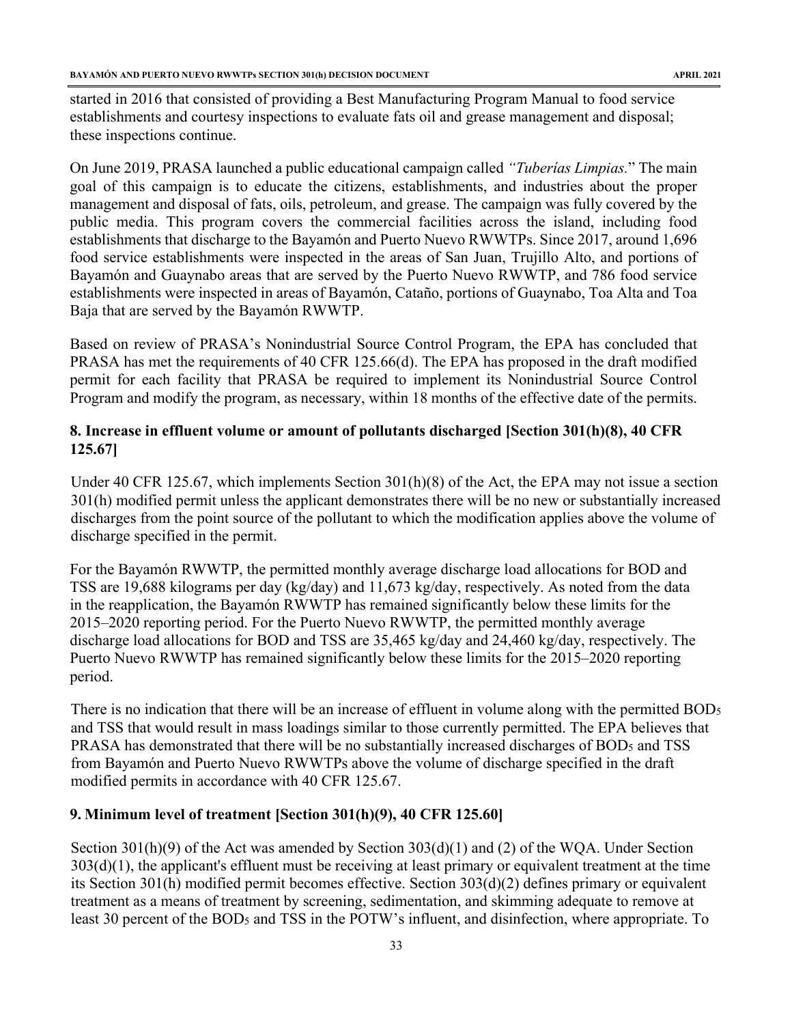started in 2016 that consisted of providing a Best Manufacturing Program Manual to food service establishments and courtesy inspections to evaluate fats oil and grease management and disposal; these inspections continue.

On June 2019, PRASA launched a public educational campaign called *"Tuberías Limpias.*" The main goal of this campaign is to educate the citizens, establishments, and industries about the proper management and disposal of fats, oils, petroleum, and grease. The campaign was fully covered by the public media. This program covers the commercial facilities across the island, including food establishments that discharge to the Bayamón and Puerto Nuevo RWWTPs. Since 2017, around 1,696 food service establishments were inspected in the areas of San Juan, Trujillo Alto, and portions of Bayamón and Guaynabo areas that are served by the Puerto Nuevo RWWTP, and 786 food service establishments were inspected in areas of Bayamón, Cataño, portions of Guaynabo, Toa Alta and Toa Baja that are served by the Bayamón RWWTP.

Based on review of PRASA's Nonindustrial Source Control Program, the EPA has concluded that PRASA has met the requirements of 40 CFR 125.66(d). The EPA has proposed in the draft modified permit for each facility that PRASA be required to implement its Nonindustrial Source Control Program and modify the program, as necessary, within 18 months of the effective date of the permits.

# <span id="page-33-0"></span>**8. Increase in effluent volume or amount of pollutants discharged [Section 301(h)(8), 40 CFR 125.67]**

Under 40 CFR 125.67, which implements Section 301(h)(8) of the Act, the EPA may not issue a section 301(h) modified permit unless the applicant demonstrates there will be no new or substantially increased discharges from the point source of the pollutant to which the modification applies above the volume of discharge specified in the permit.

For the Bayamón RWWTP, the permitted monthly average discharge load allocations for BOD and TSS are 19,688 kilograms per day (kg/day) and 11,673 kg/day, respectively. As noted from the data in the reapplication, the Bayamón RWWTP has remained significantly below these limits for the 2015–2020 reporting period. For the Puerto Nuevo RWWTP, the permitted monthly average discharge load allocations for BOD and TSS are 35,465 kg/day and 24,460 kg/day, respectively. The Puerto Nuevo RWWTP has remained significantly below these limits for the 2015–2020 reporting period.

There is no indication that there will be an increase of effluent in volume along with the permitted BOD5 and TSS that would result in mass loadings similar to those currently permitted. The EPA believes that PRASA has demonstrated that there will be no substantially increased discharges of BOD5 and TSS from Bayamón and Puerto Nuevo RWWTPs above the volume of discharge specified in the draft modified permits in accordance with 40 CFR 125.67.

# <span id="page-33-1"></span>**9. Minimum level of treatment [Section 301(h)(9), 40 CFR 125.60]**

Section 301(h)(9) of the Act was amended by Section 303(d)(1) and (2) of the WQA. Under Section  $303(d)(1)$ , the applicant's effluent must be receiving at least primary or equivalent treatment at the time its Section 301(h) modified permit becomes effective. Section 303(d)(2) defines primary or equivalent treatment as a means of treatment by screening, sedimentation, and skimming adequate to remove at least 30 percent of the BOD5 and TSS in the POTW's influent, and disinfection, where appropriate. To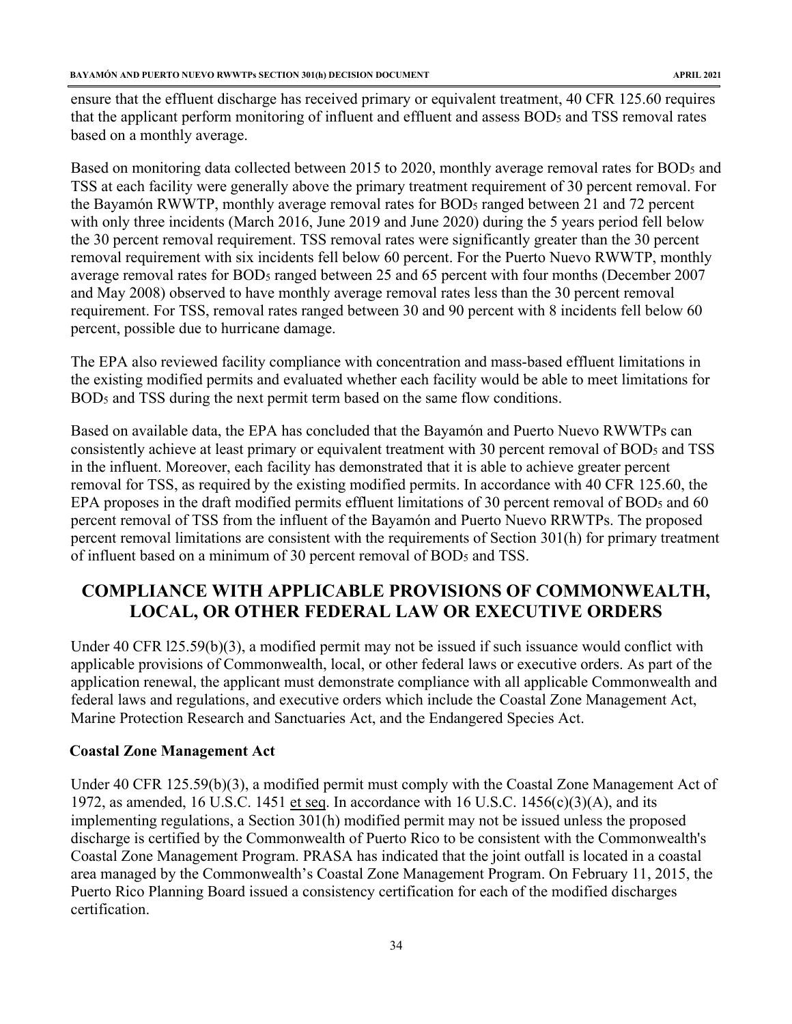ensure that the effluent discharge has received primary or equivalent treatment, 40 CFR 125.60 requires that the applicant perform monitoring of influent and effluent and assess BOD5 and TSS removal rates based on a monthly average.

Based on monitoring data collected between 2015 to 2020, monthly average removal rates for BOD<sub>5</sub> and TSS at each facility were generally above the primary treatment requirement of 30 percent removal. For the Bayamón RWWTP, monthly average removal rates for BOD<sub>5</sub> ranged between 21 and 72 percent with only three incidents (March 2016, June 2019 and June 2020) during the 5 years period fell below the 30 percent removal requirement. TSS removal rates were significantly greater than the 30 percent removal requirement with six incidents fell below 60 percent. For the Puerto Nuevo RWWTP, monthly average removal rates for BOD5 ranged between 25 and 65 percent with four months (December 2007 and May 2008) observed to have monthly average removal rates less than the 30 percent removal requirement. For TSS, removal rates ranged between 30 and 90 percent with 8 incidents fell below 60 percent, possible due to hurricane damage.

The EPA also reviewed facility compliance with concentration and mass-based effluent limitations in the existing modified permits and evaluated whether each facility would be able to meet limitations for BOD5 and TSS during the next permit term based on the same flow conditions.

Based on available data, the EPA has concluded that the Bayamón and Puerto Nuevo RWWTPs can consistently achieve at least primary or equivalent treatment with 30 percent removal of BOD5 and TSS in the influent. Moreover, each facility has demonstrated that it is able to achieve greater percent removal for TSS, as required by the existing modified permits. In accordance with 40 CFR 125.60, the EPA proposes in the draft modified permits effluent limitations of 30 percent removal of BOD5 and 60 percent removal of TSS from the influent of the Bayamón and Puerto Nuevo RRWTPs. The proposed percent removal limitations are consistent with the requirements of Section 301(h) for primary treatment of influent based on a minimum of 30 percent removal of BOD5 and TSS.

# <span id="page-34-0"></span>**COMPLIANCE WITH APPLICABLE PROVISIONS OF COMMONWEALTH, LOCAL, OR OTHER FEDERAL LAW OR EXECUTIVE ORDERS**

Under 40 CFR l25.59(b)(3), a modified permit may not be issued if such issuance would conflict with applicable provisions of Commonwealth, local, or other federal laws or executive orders. As part of the application renewal, the applicant must demonstrate compliance with all applicable Commonwealth and federal laws and regulations, and executive orders which include the Coastal Zone Management Act, Marine Protection Research and Sanctuaries Act, and the Endangered Species Act.

#### **Coastal Zone Management Act**

Under 40 CFR 125.59(b)(3), a modified permit must comply with the Coastal Zone Management Act of 1972, as amended, 16 U.S.C. 1451 et seq. In accordance with 16 U.S.C. 1456(c)(3)(A), and its implementing regulations, a Section 301(h) modified permit may not be issued unless the proposed discharge is certified by the Commonwealth of Puerto Rico to be consistent with the Commonwealth's Coastal Zone Management Program. PRASA has indicated that the joint outfall is located in a coastal area managed by the Commonwealth's Coastal Zone Management Program. On February 11, 2015, the Puerto Rico Planning Board issued a consistency certification for each of the modified discharges certification.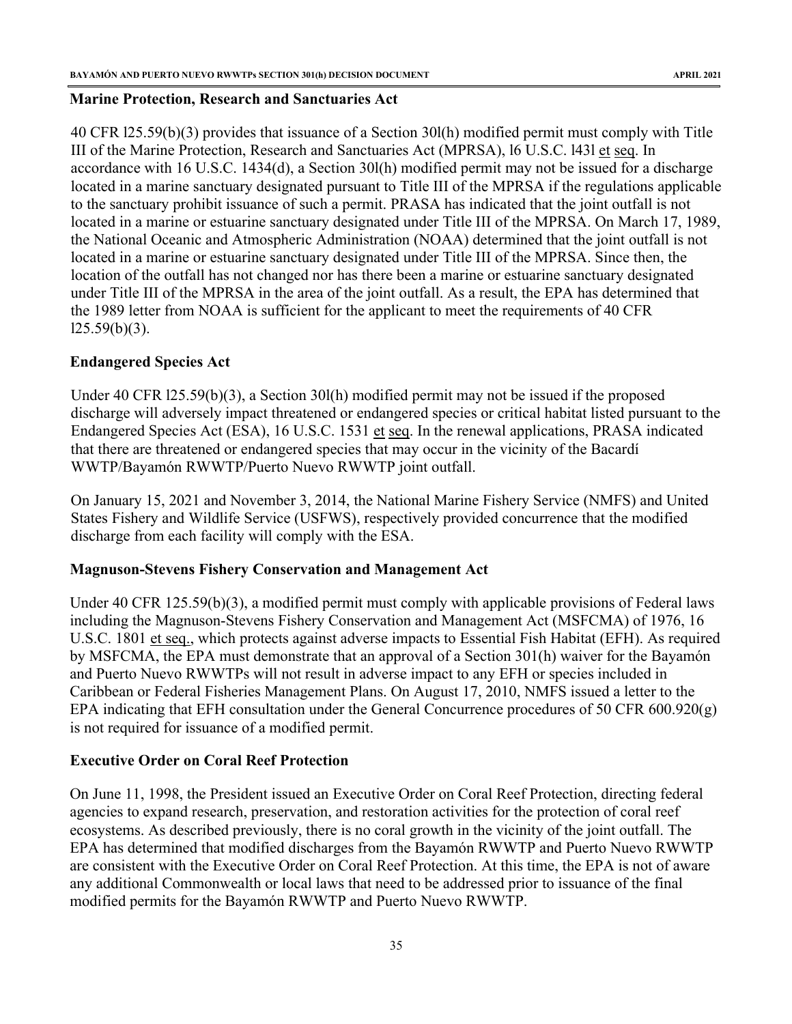#### **Marine Protection, Research and Sanctuaries Act**

40 CFR l25.59(b)(3) provides that issuance of a Section 30l(h) modified permit must comply with Title III of the Marine Protection, Research and Sanctuaries Act (MPRSA), l6 U.S.C. l43l et seq. In accordance with 16 U.S.C. 1434(d), a Section 30l(h) modified permit may not be issued for a discharge located in a marine sanctuary designated pursuant to Title III of the MPRSA if the regulations applicable to the sanctuary prohibit issuance of such a permit. PRASA has indicated that the joint outfall is not located in a marine or estuarine sanctuary designated under Title III of the MPRSA. On March 17, 1989, the National Oceanic and Atmospheric Administration (NOAA) determined that the joint outfall is not located in a marine or estuarine sanctuary designated under Title III of the MPRSA. Since then, the location of the outfall has not changed nor has there been a marine or estuarine sanctuary designated under Title III of the MPRSA in the area of the joint outfall. As a result, the EPA has determined that the 1989 letter from NOAA is sufficient for the applicant to meet the requirements of 40 CFR  $125.59(b)(3)$ .

### **Endangered Species Act**

Under 40 CFR l25.59(b)(3), a Section 30l(h) modified permit may not be issued if the proposed discharge will adversely impact threatened or endangered species or critical habitat listed pursuant to the Endangered Species Act (ESA), 16 U.S.C. 1531 et seq. In the renewal applications, PRASA indicated that there are threatened or endangered species that may occur in the vicinity of the Bacardí WWTP/Bayamón RWWTP/Puerto Nuevo RWWTP joint outfall.

On January 15, 2021 and November 3, 2014, the National Marine Fishery Service (NMFS) and United States Fishery and Wildlife Service (USFWS), respectively provided concurrence that the modified discharge from each facility will comply with the ESA.

#### <span id="page-35-0"></span>**Magnuson-Stevens Fishery Conservation and Management Act**

Under 40 CFR 125.59(b)(3), a modified permit must comply with applicable provisions of Federal laws including the Magnuson-Stevens Fishery Conservation and Management Act (MSFCMA) of 1976, 16 U.S.C. 1801 et seq., which protects against adverse impacts to Essential Fish Habitat (EFH). As required by MSFCMA, the EPA must demonstrate that an approval of a Section 301(h) waiver for the Bayamón and Puerto Nuevo RWWTPs will not result in adverse impact to any EFH or species included in Caribbean or Federal Fisheries Management Plans. On August 17, 2010, NMFS issued a letter to the EPA indicating that EFH consultation under the General Concurrence procedures of 50 CFR 600.920(g) is not required for issuance of a modified permit.

# **Executive Order on Coral Reef Protection**

On June 11, 1998, the President issued an Executive Order on Coral Reef Protection, directing federal agencies to expand research, preservation, and restoration activities for the protection of coral reef ecosystems. As described previously, there is no coral growth in the vicinity of the joint outfall. The EPA has determined that modified discharges from the Bayamón RWWTP and Puerto Nuevo RWWTP are consistent with the Executive Order on Coral Reef Protection. At this time, the EPA is not of aware any additional Commonwealth or local laws that need to be addressed prior to issuance of the final modified permits for the Bayamón RWWTP and Puerto Nuevo RWWTP.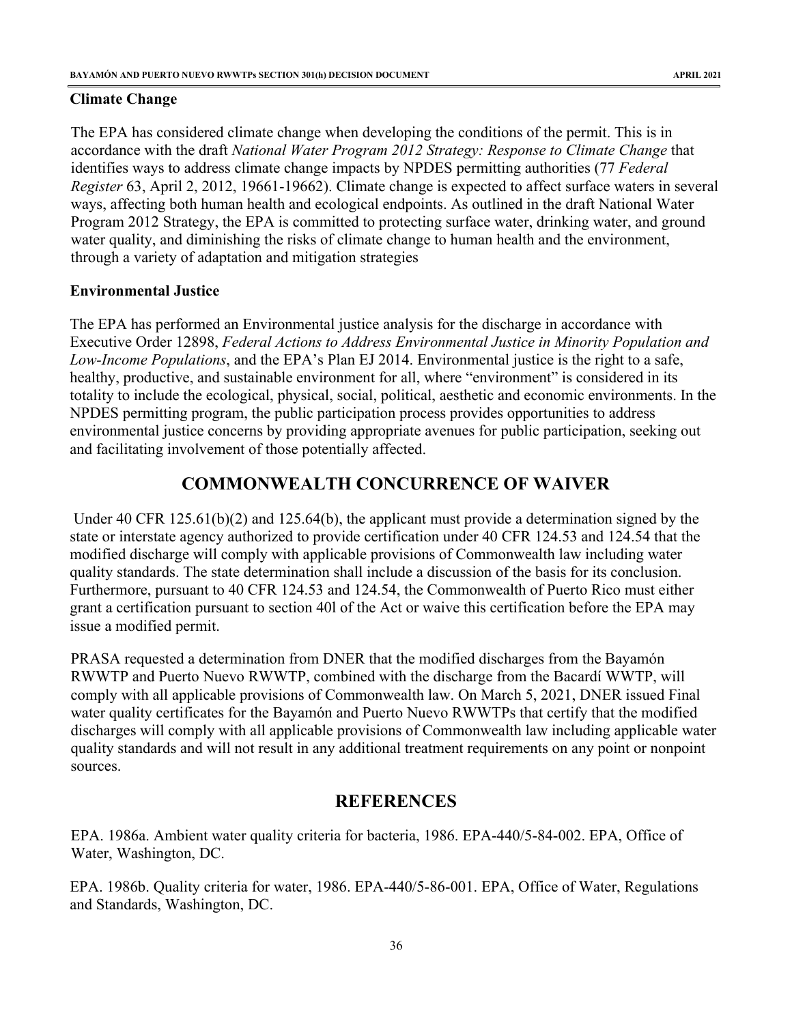#### <span id="page-36-0"></span>**Climate Change**

The EPA has considered climate change when developing the conditions of the permit. This is in accordance with the draft *National Water Program 2012 Strategy: Response to Climate Change* that identifies ways to address climate change impacts by NPDES permitting authorities (77 *Federal Register* 63, April 2, 2012, 19661-19662). Climate change is expected to affect surface waters in several ways, affecting both human health and ecological endpoints. As outlined in the draft National Water Program 2012 Strategy, the EPA is committed to protecting surface water, drinking water, and ground water quality, and diminishing the risks of climate change to human health and the environment, through a variety of adaptation and mitigation strategies

#### <span id="page-36-1"></span>**Environmental Justice**

The EPA has performed an Environmental justice analysis for the discharge in accordance with Executive Order 12898, *Federal Actions to Address Environmental Justice in Minority Population and Low-Income Populations*, and the EPA's Plan EJ 2014. Environmental justice is the right to a safe, healthy, productive, and sustainable environment for all, where "environment" is considered in its totality to include the ecological, physical, social, political, aesthetic and economic environments. In the NPDES permitting program, the public participation process provides opportunities to address environmental justice concerns by providing appropriate avenues for public participation, seeking out and facilitating involvement of those potentially affected.

# **COMMONWEALTH CONCURRENCE OF WAIVER**

<span id="page-36-2"></span>Under 40 CFR 125.61(b)(2) and 125.64(b), the applicant must provide a determination signed by the state or interstate agency authorized to provide certification under 40 CFR 124.53 and 124.54 that the modified discharge will comply with applicable provisions of Commonwealth law including water quality standards. The state determination shall include a discussion of the basis for its conclusion. Furthermore, pursuant to 40 CFR 124.53 and 124.54, the Commonwealth of Puerto Rico must either grant a certification pursuant to section 40l of the Act or waive this certification before the EPA may issue a modified permit.

PRASA requested a determination from DNER that the modified discharges from the Bayamón RWWTP and Puerto Nuevo RWWTP, combined with the discharge from the Bacardí WWTP, will comply with all applicable provisions of Commonwealth law. On March 5, 2021, DNER issued Final water quality certificates for the Bayamón and Puerto Nuevo RWWTPs that certify that the modified discharges will comply with all applicable provisions of Commonwealth law including applicable water quality standards and will not result in any additional treatment requirements on any point or nonpoint sources.

# **REFERENCES**

<span id="page-36-3"></span>EPA. 1986a. Ambient water quality criteria for bacteria, 1986. EPA-440/5-84-002. EPA, Office of Water, Washington, DC.

EPA. 1986b. Quality criteria for water, 1986. EPA-440/5-86-001. EPA, Office of Water, Regulations and Standards, Washington, DC.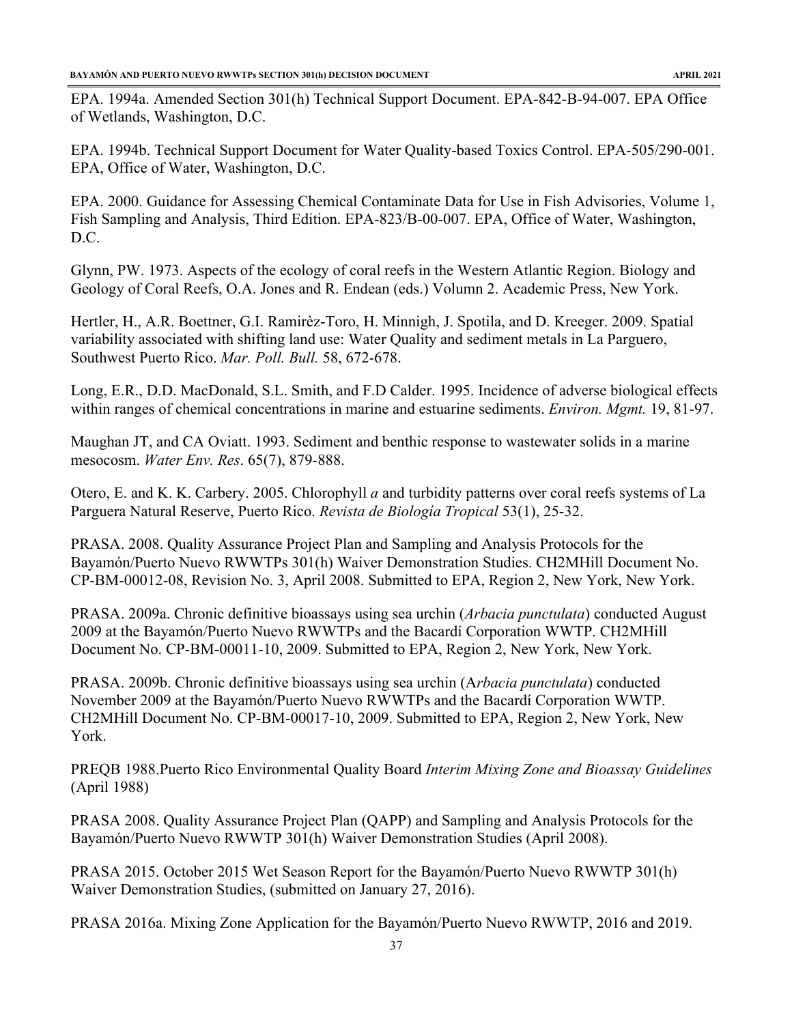EPA. 1994a. Amended Section 301(h) Technical Support Document. EPA-842-B-94-007. EPA Office of Wetlands, Washington, D.C.

EPA. 1994b. Technical Support Document for Water Quality-based Toxics Control. EPA-505/290-001. EPA, Office of Water, Washington, D.C.

EPA. 2000. Guidance for Assessing Chemical Contaminate Data for Use in Fish Advisories, Volume 1, Fish Sampling and Analysis, Third Edition. EPA-823/B-00-007. EPA, Office of Water, Washington, D.C.

Glynn, PW. 1973. Aspects of the ecology of coral reefs in the Western Atlantic Region. Biology and Geology of Coral Reefs, O.A. Jones and R. Endean (eds.) Volumn 2. Academic Press, New York.

Hertler, H., A.R. Boettner, G.I. Ramirèz-Toro, H. Minnigh, J. Spotila, and D. Kreeger. 2009. Spatial variability associated with shifting land use: Water Quality and sediment metals in La Parguero, Southwest Puerto Rico. *Mar. Poll. Bull.* 58, 672-678.

Long, E.R., D.D. MacDonald, S.L. Smith, and F.D Calder. 1995. Incidence of adverse biological effects within ranges of chemical concentrations in marine and estuarine sediments. *Environ. Mgmt.* 19, 81-97.

Maughan JT, and CA Oviatt. 1993. Sediment and benthic response to wastewater solids in a marine mesocosm. *Water Env. Res*. 65(7), 879-888.

Otero, E. and K. K. Carbery. 2005. Chlorophyll *a* and turbidity patterns over coral reefs systems of La Parguera Natural Reserve, Puerto Rico. *Revista de Biología Tropical* 53(1), 25-32.

PRASA. 2008. Quality Assurance Project Plan and Sampling and Analysis Protocols for the Bayamón/Puerto Nuevo RWWTPs 301(h) Waiver Demonstration Studies. CH2MHill Document No. CP-BM-00012-08, Revision No. 3, April 2008. Submitted to EPA, Region 2, New York, New York.

PRASA. 2009a. Chronic definitive bioassays using sea urchin (*Arbacia punctulata*) conducted August 2009 at the Bayamón/Puerto Nuevo RWWTPs and the Bacardí Corporation WWTP. CH2MHill Document No. CP-BM-00011-10, 2009. Submitted to EPA, Region 2, New York, New York.

PRASA. 2009b. Chronic definitive bioassays using sea urchin (A*rbacia punctulata*) conducted November 2009 at the Bayamón/Puerto Nuevo RWWTPs and the Bacardí Corporation WWTP. CH2MHill Document No. CP-BM-00017-10, 2009. Submitted to EPA, Region 2, New York, New York.

PREQB 1988.Puerto Rico Environmental Quality Board *Interim Mixing Zone and Bioassay Guidelines* (April 1988)

PRASA 2008. Quality Assurance Project Plan (QAPP) and Sampling and Analysis Protocols for the Bayamón/Puerto Nuevo RWWTP 301(h) Waiver Demonstration Studies (April 2008).

PRASA 2015. October 2015 Wet Season Report for the Bayamón/Puerto Nuevo RWWTP 301(h) Waiver Demonstration Studies, (submitted on January 27, 2016).

PRASA 2016a. Mixing Zone Application for the Bayamón/Puerto Nuevo RWWTP, 2016 and 2019.